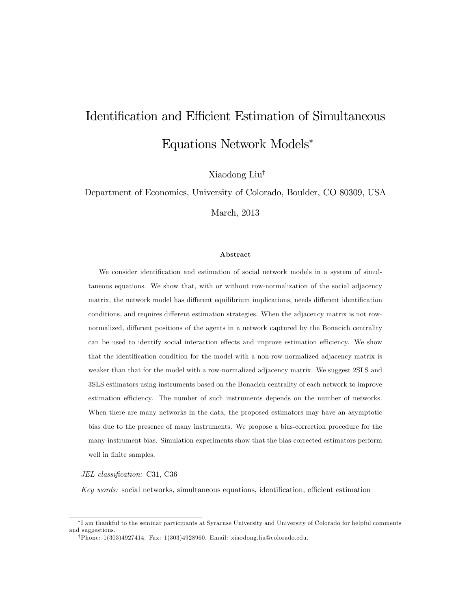# Identification and Efficient Estimation of Simultaneous Equations Network Models

Xiaodong Liu<sup>†</sup>

Department of Economics, University of Colorado, Boulder, CO 80309, USA

March, 2013

### Abstract

We consider identification and estimation of social network models in a system of simultaneous equations. We show that, with or without row-normalization of the social adjacency matrix, the network model has different equilibrium implications, needs different identification conditions, and requires different estimation strategies. When the adjacency matrix is not rownormalized, different positions of the agents in a network captured by the Bonacich centrality can be used to identify social interaction effects and improve estimation efficiency. We show that the identification condition for the model with a non-row-normalized adjacency matrix is weaker than that for the model with a row-normalized adjacency matrix. We suggest 2SLS and 3SLS estimators using instruments based on the Bonacich centrality of each network to improve estimation efficiency. The number of such instruments depends on the number of networks. When there are many networks in the data, the proposed estimators may have an asymptotic bias due to the presence of many instruments. We propose a bias-correction procedure for the many-instrument bias. Simulation experiments show that the bias-corrected estimators perform well in finite samples.

JEL classification: C31, C36

Key words: social networks, simultaneous equations, identification, efficient estimation

I am thankful to the seminar participants at Syracuse University and University of Colorado for helpful comments and suggestions.

<sup>&</sup>lt;sup>†</sup>Phone: 1(303)4927414. Fax: 1(303)4928960. Email: xiaodong.liu@colorado.edu.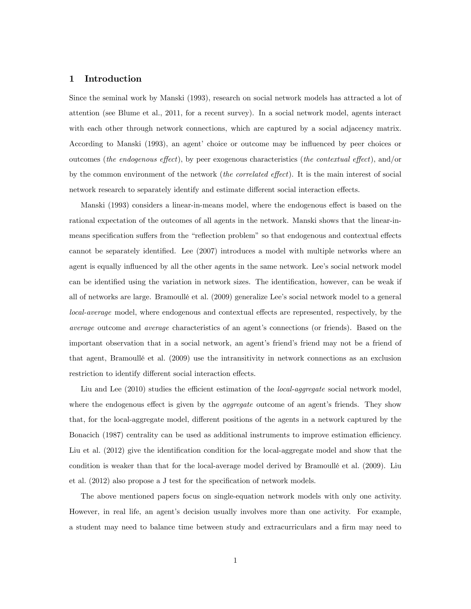### 1 Introduction

Since the seminal work by Manski (1993), research on social network models has attracted a lot of attention (see Blume et al., 2011, for a recent survey). In a social network model, agents interact with each other through network connections, which are captured by a social adjacency matrix. According to Manski (1993), an agent' choice or outcome may be influenced by peer choices or outcomes (the endogenous effect), by peer exogenous characteristics (the contextual effect), and/or by the common environment of the network (*the correlated effect*). It is the main interest of social network research to separately identify and estimate different social interaction effects.

Manski (1993) considers a linear-in-means model, where the endogenous effect is based on the rational expectation of the outcomes of all agents in the network. Manski shows that the linear-inmeans specification suffers from the "reflection problem" so that endogenous and contextual effects cannot be separately identified. Lee (2007) introduces a model with multiple networks where an agent is equally influenced by all the other agents in the same network. Lee's social network model can be identified using the variation in network sizes. The identification, however, can be weak if all of networks are large. Bramoullé et al. (2009) generalize Lee's social network model to a general local-average model, where endogenous and contextual effects are represented, respectively, by the average outcome and *average* characteristics of an agent's connections (or friends). Based on the important observation that in a social network, an agent's friend's friend may not be a friend of that agent, BramoullÈ et al. (2009) use the intransitivity in network connections as an exclusion restriction to identify different social interaction effects.

Liu and Lee (2010) studies the efficient estimation of the *local-aggregate* social network model, where the endogenous effect is given by the *aggregate* outcome of an agent's friends. They show that, for the local-aggregate model, different positions of the agents in a network captured by the Bonacich (1987) centrality can be used as additional instruments to improve estimation efficiency. Liu et al. (2012) give the identification condition for the local-aggregate model and show that the condition is weaker than that for the local-average model derived by Bramoullé et al. (2009). Liu et al.  $(2012)$  also propose a J test for the specification of network models.

The above mentioned papers focus on single-equation network models with only one activity. However, in real life, an agent's decision usually involves more than one activity. For example, a student may need to balance time between study and extracurriculars and a firm may need to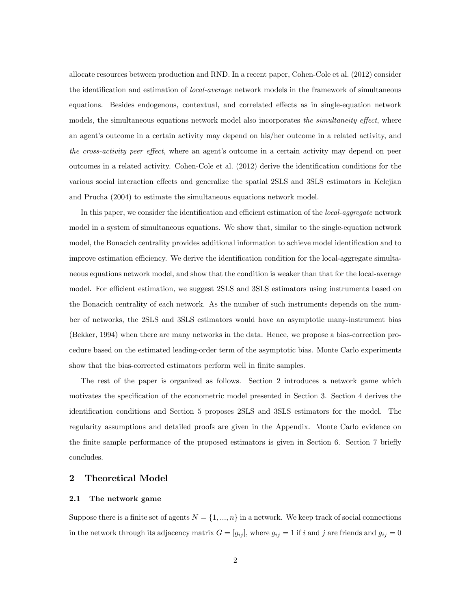allocate resources between production and RND. In a recent paper, Cohen-Cole et al. (2012) consider the identification and estimation of *local-average* network models in the framework of simultaneous equations. Besides endogenous, contextual, and correlated effects as in single-equation network models, the simultaneous equations network model also incorporates the simultaneity effect, where an agent's outcome in a certain activity may depend on his/her outcome in a related activity, and the cross-activity peer effect, where an agent's outcome in a certain activity may depend on peer outcomes in a related activity. Cohen-Cole et al. (2012) derive the identification conditions for the various social interaction effects and generalize the spatial 2SLS and 3SLS estimators in Kelejian and Prucha (2004) to estimate the simultaneous equations network model.

In this paper, we consider the identification and efficient estimation of the *local-aggregate* network model in a system of simultaneous equations. We show that, similar to the single-equation network model, the Bonacich centrality provides additional information to achieve model identification and to improve estimation efficiency. We derive the identification condition for the local-aggregate simultaneous equations network model, and show that the condition is weaker than that for the local-average model. For efficient estimation, we suggest 2SLS and 3SLS estimators using instruments based on the Bonacich centrality of each network. As the number of such instruments depends on the number of networks, the 2SLS and 3SLS estimators would have an asymptotic many-instrument bias (Bekker, 1994) when there are many networks in the data. Hence, we propose a bias-correction procedure based on the estimated leading-order term of the asymptotic bias. Monte Carlo experiments show that the bias-corrected estimators perform well in finite samples.

The rest of the paper is organized as follows. Section 2 introduces a network game which motivates the specification of the econometric model presented in Section 3. Section 4 derives the identification conditions and Section 5 proposes 2SLS and 3SLS estimators for the model. The regularity assumptions and detailed proofs are given in the Appendix. Monte Carlo evidence on the finite sample performance of the proposed estimators is given in Section 6. Section 7 briefly concludes.

### 2 Theoretical Model

### 2.1 The network game

Suppose there is a finite set of agents  $N = \{1, ..., n\}$  in a network. We keep track of social connections in the network through its adjacency matrix  $G = [g_{ij}]$ , where  $g_{ij} = 1$  if i and j are friends and  $g_{ij} = 0$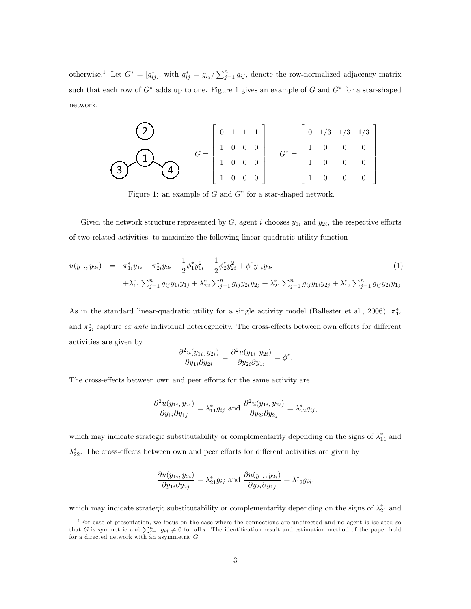otherwise.<sup>1</sup> Let  $G^* = [g_{ij}^*]$ , with  $g_{ij}^* = g_{ij}/\sum_{j=1}^n g_{ij}$ , denote the row-normalized adjacency matrix such that each row of  $G^*$  adds up to one. Figure 1 gives an example of G and  $G^*$  for a star-shaped network.

$$
\begin{pmatrix}\n2 \\
1 \\
0\n\end{pmatrix}\nG =\n\begin{bmatrix}\n0 & 1 & 1 & 1 \\
1 & 0 & 0 & 0 \\
1 & 0 & 0 & 0 \\
1 & 0 & 0 & 0\n\end{bmatrix}\nG^* =\n\begin{bmatrix}\n0 & 1/3 & 1/3 & 1/3 \\
1 & 0 & 0 & 0 \\
1 & 0 & 0 & 0 \\
1 & 0 & 0 & 0\n\end{bmatrix}
$$

Figure 1: an example of  $G$  and  $G^*$  for a star-shaped network.

Given the network structure represented by  $G$ , agent i chooses  $y_{1i}$  and  $y_{2i}$ , the respective efforts of two related activities, to maximize the following linear quadratic utility function

$$
u(y_{1i}, y_{2i}) = \pi_{1i}^* y_{1i} + \pi_{2i}^* y_{2i} - \frac{1}{2} \phi_1^* y_{1i}^2 - \frac{1}{2} \phi_2^* y_{2i}^2 + \phi^* y_{1i} y_{2i}
$$
  
 
$$
+ \lambda_{11}^* \sum_{j=1}^n g_{ij} y_{1i} y_{1j} + \lambda_{22}^* \sum_{j=1}^n g_{ij} y_{2i} y_{2j} + \lambda_{21}^* \sum_{j=1}^n g_{ij} y_{1i} y_{2j} + \lambda_{12}^* \sum_{j=1}^n g_{ij} y_{2i} y_{1j}.
$$
 (1)

As in the standard linear-quadratic utility for a single activity model (Ballester et al., 2006),  $\pi_{1i}^*$ and  $\pi_{2i}^*$  capture *ex ante* individual heterogeneity. The cross-effects between own efforts for different activities are given by

$$
\frac{\partial^2 u(y_{1i}, y_{2i})}{\partial y_{1i} \partial y_{2i}} = \frac{\partial^2 u(y_{1i}, y_{2i})}{\partial y_{2i} \partial y_{1i}} = \phi^*.
$$

The cross-effects between own and peer efforts for the same activity are

$$
\frac{\partial^2 u(y_{1i}, y_{2i})}{\partial y_{1i} \partial y_{1j}} = \lambda_{11}^* g_{ij} \text{ and } \frac{\partial^2 u(y_{1i}, y_{2i})}{\partial y_{2i} \partial y_{2j}} = \lambda_{22}^* g_{ij},
$$

which may indicate strategic substitutability or complementarity depending on the signs of  $\lambda_{11}^*$  and  $\lambda_{22}^*$ . The cross-effects between own and peer efforts for different activities are given by

$$
\frac{\partial u(y_{1i}, y_{2i})}{\partial y_{1i} \partial y_{2j}} = \lambda_{21}^* g_{ij} \text{ and } \frac{\partial u(y_{1i}, y_{2i})}{\partial y_{2i} \partial y_{1j}} = \lambda_{12}^* g_{ij},
$$

which may indicate strategic substitutability or complementarity depending on the signs of  $\lambda_{21}^*$  and

<sup>1</sup>For ease of presentation, we focus on the case where the connections are undirected and no agent is isolated so that G is symmetric and  $\sum_{j=1}^{n} g_{ij} \neq 0$  for all i. The identification result and estimation method of the paper hold for a directed network with an asymmetric G.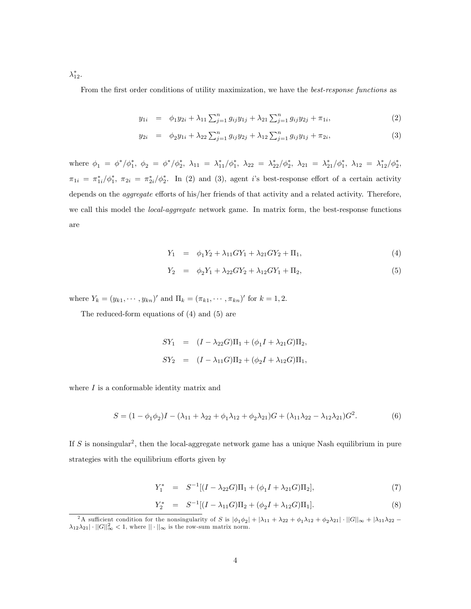$\lambda_{12}^*.$ 

From the first order conditions of utility maximization, we have the *best-response functions* as

$$
y_{1i} = \phi_1 y_{2i} + \lambda_{11} \sum_{j=1}^n g_{ij} y_{1j} + \lambda_{21} \sum_{j=1}^n g_{ij} y_{2j} + \pi_{1i}, \tag{2}
$$

$$
y_{2i} = \phi_2 y_{1i} + \lambda_{22} \sum_{j=1}^n g_{ij} y_{2j} + \lambda_{12} \sum_{j=1}^n g_{ij} y_{1j} + \pi_{2i}, \tag{3}
$$

where  $\phi_1 = \phi^*/\phi_1^*$ ,  $\phi_2 = \phi^*/\phi_2^*$ ,  $\lambda_{11} = \lambda_{11}^*/\phi_1^*$ ,  $\lambda_{22} = \lambda_{22}^*/\phi_2^*$ ,  $\lambda_{21} = \lambda_{21}^*/\phi_1^*$ ,  $\lambda_{12} = \lambda_{12}^*/\phi_2^*$ ,  $\pi_{1i} = \pi_{1i}^*/\phi_1^*, \ \pi_{2i} = \pi_{2i}^*/\phi_2^*.$  In (2) and (3), agent is best-response effort of a certain activity depends on the *aggregate* efforts of his/her friends of that activity and a related activity. Therefore, we call this model the *local-aggregate* network game. In matrix form, the best-response functions are

$$
Y_1 = \phi_1 Y_2 + \lambda_{11} G Y_1 + \lambda_{21} G Y_2 + \Pi_1, \tag{4}
$$

$$
Y_2 = \phi_2 Y_1 + \lambda_{22} G Y_2 + \lambda_{12} G Y_1 + \Pi_2, \tag{5}
$$

where  $Y_k = (y_{k1}, \dots, y_{kn})'$  and  $\Pi_k = (\pi_{k1}, \dots, \pi_{kn})'$  for  $k = 1, 2$ .

The reduced-form equations of (4) and (5) are

$$
SY_1 = (I - \lambda_{22}G)\Pi_1 + (\phi_1 I + \lambda_{21}G)\Pi_2,
$$
  
\n
$$
SY_2 = (I - \lambda_{11}G)\Pi_2 + (\phi_2 I + \lambda_{12}G)\Pi_1,
$$

where  $I$  is a conformable identity matrix and

$$
S = (1 - \phi_1 \phi_2)I - (\lambda_{11} + \lambda_{22} + \phi_1 \lambda_{12} + \phi_2 \lambda_{21})G + (\lambda_{11}\lambda_{22} - \lambda_{12}\lambda_{21})G^2.
$$
 (6)

If S is nonsingular<sup>2</sup>, then the local-aggregate network game has a unique Nash equilibrium in pure strategies with the equilibrium efforts given by

$$
Y_1^* = S^{-1}[(I - \lambda_{22}G)\Pi_1 + (\phi_1 I + \lambda_{21}G)\Pi_2],
$$
\n(7)

$$
Y_2^* = S^{-1}[(I - \lambda_{11}G)\Pi_2 + (\phi_2I + \lambda_{12}G)\Pi_1].
$$
\n(8)

<sup>&</sup>lt;sup>2</sup>A sufficient condition for the nonsingularity of S is  $|\phi_1\phi_2| + |\lambda_{11} + \lambda_{22} + \phi_1\lambda_{12} + \phi_2\lambda_{21}| \cdot ||G||_{\infty} + |\lambda_{11}\lambda_{22} \lambda_{12}\lambda_{21} \cdot ||G||_{\infty}^2 < 1$ , where  $||\cdot||_{\infty}$  is the row-sum matrix norm.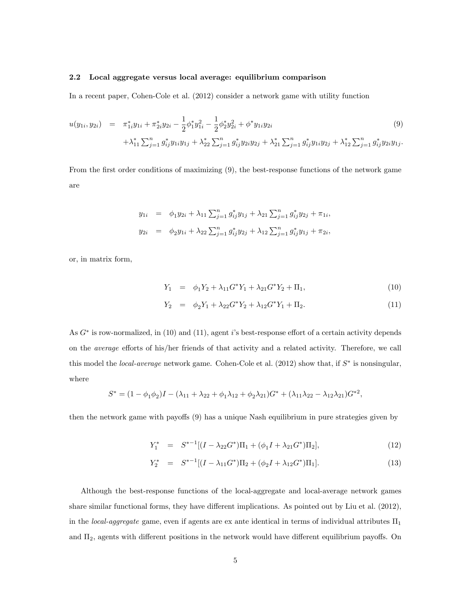### 2.2 Local aggregate versus local average: equilibrium comparison

In a recent paper, Cohen-Cole et al. (2012) consider a network game with utility function

$$
u(y_{1i}, y_{2i}) = \pi_{1i}^* y_{1i} + \pi_{2i}^* y_{2i} - \frac{1}{2} \phi_1^* y_{1i}^2 - \frac{1}{2} \phi_2^* y_{2i}^2 + \phi^* y_{1i} y_{2i}
$$
  
 
$$
+ \lambda_{11}^* \sum_{j=1}^n g_{ij}^* y_{1i} y_{1j} + \lambda_{22}^* \sum_{j=1}^n g_{ij}^* y_{2i} y_{2j} + \lambda_{21}^* \sum_{j=1}^n g_{ij}^* y_{1i} y_{2j} + \lambda_{12}^* \sum_{j=1}^n g_{ij}^* y_{2i} y_{1j}.
$$

$$
(9)
$$

From the first order conditions of maximizing (9), the best-response functions of the network game are

$$
y_{1i} = \phi_1 y_{2i} + \lambda_{11} \sum_{j=1}^n g_{ij}^* y_{1j} + \lambda_{21} \sum_{j=1}^n g_{ij}^* y_{2j} + \pi_{1i},
$$
  

$$
y_{2i} = \phi_2 y_{1i} + \lambda_{22} \sum_{j=1}^n g_{ij}^* y_{2j} + \lambda_{12} \sum_{j=1}^n g_{ij}^* y_{1j} + \pi_{2i},
$$

or, in matrix form,

$$
Y_1 = \phi_1 Y_2 + \lambda_{11} G^* Y_1 + \lambda_{21} G^* Y_2 + \Pi_1, \tag{10}
$$

$$
Y_2 = \phi_2 Y_1 + \lambda_{22} G^* Y_2 + \lambda_{12} G^* Y_1 + \Pi_2.
$$
\n(11)

As  $G^*$  is row-normalized, in (10) and (11), agent i's best-response effort of a certain activity depends on the *average* efforts of his/her friends of that activity and a related activity. Therefore, we call this model the *local-average* network game. Cohen-Cole et al.  $(2012)$  show that, if  $S^*$  is nonsingular, where

$$
S^* = (1 - \phi_1 \phi_2)I - (\lambda_{11} + \lambda_{22} + \phi_1 \lambda_{12} + \phi_2 \lambda_{21})G^* + (\lambda_{11} \lambda_{22} - \lambda_{12} \lambda_{21})G^{*2},
$$

then the network game with payoffs (9) has a unique Nash equilibrium in pure strategies given by

$$
Y_1^* = S^{*-1}[(I - \lambda_{22}G^*)\Pi_1 + (\phi_1 I + \lambda_{21}G^*)\Pi_2],
$$
\n(12)

$$
Y_2^* = S^{*-1}[(I - \lambda_{11}G^*)\Pi_2 + (\phi_2I + \lambda_{12}G^*)\Pi_1].
$$
\n(13)

Although the best-response functions of the local-aggregate and local-average network games share similar functional forms, they have different implications. As pointed out by Liu et al. (2012), in the local-aggregate game, even if agents are ex ante identical in terms of individual attributes  $\Pi_1$ and  $\Pi_2$ , agents with different positions in the network would have different equilibrium payoffs. On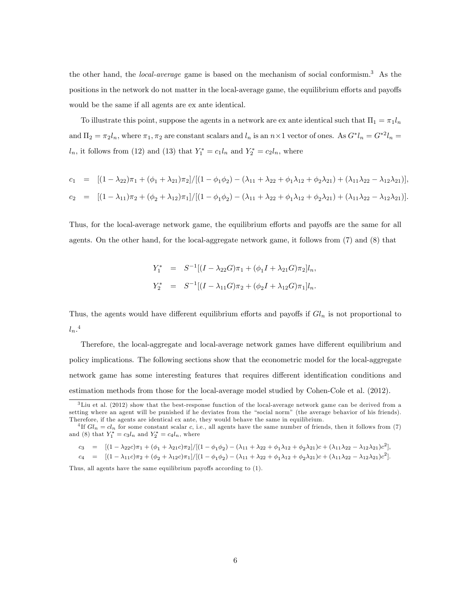the other hand, the *local-average* game is based on the mechanism of social conformism.<sup>3</sup> As the positions in the network do not matter in the local-average game, the equilibrium efforts and payoffs would be the same if all agents are ex ante identical.

To illustrate this point, suppose the agents in a network are ex ante identical such that  $\Pi_1 = \pi_1 l_n$ and  $\Pi_2 = \pi_2 l_n$ , where  $\pi_1, \pi_2$  are constant scalars and  $l_n$  is an  $n \times 1$  vector of ones. As  $G^* l_n = G^{*2} l_n =$  $l_n$ , it follows from (12) and (13) that  $Y_1^* = c_1 l_n$  and  $Y_2^* = c_2 l_n$ , where

$$
c_1 = [(1 - \lambda_{22})\pi_1 + (\phi_1 + \lambda_{21})\pi_2]/[(1 - \phi_1\phi_2) - (\lambda_{11} + \lambda_{22} + \phi_1\lambda_{12} + \phi_2\lambda_{21}) + (\lambda_{11}\lambda_{22} - \lambda_{12}\lambda_{21})],
$$
  
\n
$$
c_2 = [(1 - \lambda_{11})\pi_2 + (\phi_2 + \lambda_{12})\pi_1]/[(1 - \phi_1\phi_2) - (\lambda_{11} + \lambda_{22} + \phi_1\lambda_{12} + \phi_2\lambda_{21}) + (\lambda_{11}\lambda_{22} - \lambda_{12}\lambda_{21})].
$$

Thus, for the local-average network game, the equilibrium efforts and payoffs are the same for all agents. On the other hand, for the local-aggregate network game, it follows from (7) and (8) that

$$
Y_1^* = S^{-1}[(I - \lambda_{22}G)\pi_1 + (\phi_1 I + \lambda_{21}G)\pi_2]l_n,
$$
  

$$
Y_2^* = S^{-1}[(I - \lambda_{11}G)\pi_2 + (\phi_2 I + \lambda_{12}G)\pi_1]l_n.
$$

Thus, the agents would have different equilibrium efforts and payoffs if  $Gl_n$  is not proportional to  $l_n$ .<sup>4</sup>

Therefore, the local-aggregate and local-average network games have different equilibrium and policy implications. The following sections show that the econometric model for the local-aggregate network game has some interesting features that requires different identification conditions and estimation methods from those for the local-average model studied by Cohen-Cole et al. (2012).

 $c_3 = [ (1 - \lambda_{22}c)\pi_1 + (\phi_1 + \lambda_{21}c)\pi_2]/[(1 - \phi_1\phi_2) - (\lambda_{11} + \lambda_{22} + \phi_1\lambda_{12} + \phi_2\lambda_{21})c + (\lambda_{11}\lambda_{22} - \lambda_{12}\lambda_{21})c^2],$ 

 $c_4 = [(1 - \lambda_{11}c)\pi_2 + (\phi_2 + \lambda_{12}c)\pi_1]/[(1 - \phi_1\phi_2) - (\lambda_{11} + \lambda_{22} + \phi_1\lambda_{12} + \phi_2\lambda_{21})c + (\lambda_{11}\lambda_{22} - \lambda_{12}\lambda_{21})c^2].$ 

Thus, all agents have the same equilibrium payoffs according to  $(1)$ .

<sup>3</sup>Liu et al. (2012) show that the best-response function of the local-average network game can be derived from a setting where an agent will be punished if he deviates from the "social norm" (the average behavior of his friends). Therefore, if the agents are identical ex ante, they would behave the same in equilibrium.

<sup>&</sup>lt;sup>4</sup>If  $Gl_n = cl_n$  for some constant scalar c, i.e., all agents have the same number of friends, then it follows from (7) and (8) that  $Y_1^* = c_3 l_n$  and  $Y_2^* = c_4 l_n$ , where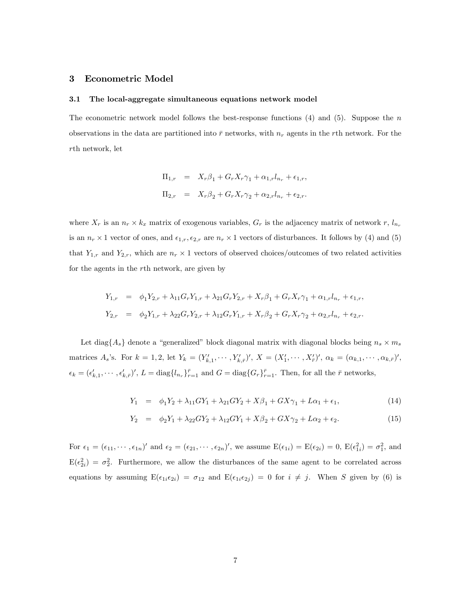### 3 Econometric Model

#### 3.1 The local-aggregate simultaneous equations network model

The econometric network model follows the best-response functions  $(4)$  and  $(5)$ . Suppose the n observations in the data are partitioned into  $\bar{r}$  networks, with  $n_r$  agents in the rth network. For the rth network, let

$$
\Pi_{1,r} = X_r \beta_1 + G_r X_r \gamma_1 + \alpha_{1,r} l_{n_r} + \epsilon_{1,r},
$$
  

$$
\Pi_{2,r} = X_r \beta_2 + G_r X_r \gamma_2 + \alpha_{2,r} l_{n_r} + \epsilon_{2,r}.
$$

where  $X_r$  is an  $n_r \times k_x$  matrix of exogenous variables,  $G_r$  is the adjacency matrix of network  $r$ ,  $l_{n_r}$ is an  $n_r \times 1$  vector of ones, and  $\epsilon_{1,r}$ ,  $\epsilon_{2,r}$  are  $n_r \times 1$  vectors of disturbances. It follows by (4) and (5) that  $Y_{1,r}$  and  $Y_{2,r}$ , which are  $n_r \times 1$  vectors of observed choices/outcomes of two related activities for the agents in the rth network, are given by

$$
Y_{1,r} = \phi_1 Y_{2,r} + \lambda_{11} G_r Y_{1,r} + \lambda_{21} G_r Y_{2,r} + X_r \beta_1 + G_r X_r \gamma_1 + \alpha_{1,r} I_{n_r} + \epsilon_{1,r},
$$
  
\n
$$
Y_{2,r} = \phi_2 Y_{1,r} + \lambda_{22} G_r Y_{2,r} + \lambda_{12} G_r Y_{1,r} + X_r \beta_2 + G_r X_r \gamma_2 + \alpha_{2,r} I_{n_r} + \epsilon_{2,r}.
$$

Let diag $\{A_s\}$  denote a "generalized" block diagonal matrix with diagonal blocks being  $n_s \times m_s$ matrices  $A_s$ 's. For  $k = 1, 2$ , let  $Y_k = (Y'_{k,1}, \dots, Y'_{k,\bar{r}})'$ ,  $X = (X'_1, \dots, X'_{\bar{r}})'$ ,  $\alpha_k = (\alpha_{k,1}, \dots, \alpha_{k,\bar{r}})'$ ,  $\epsilon_k = (\epsilon'_{k,1}, \cdots, \epsilon'_{k,\bar{r}})'$ ,  $L = \text{diag}\{l_{n_r}\}_{r=1}^{\bar{r}}$  and  $G = \text{diag}\{G_r\}_{r=1}^{\bar{r}}$ . Then, for all the  $\bar{r}$  networks,

$$
Y_1 = \phi_1 Y_2 + \lambda_{11} G Y_1 + \lambda_{21} G Y_2 + X \beta_1 + G X \gamma_1 + L \alpha_1 + \epsilon_1, \tag{14}
$$

$$
Y_2 = \phi_2 Y_1 + \lambda_{22} G Y_2 + \lambda_{12} G Y_1 + X \beta_2 + G X \gamma_2 + L \alpha_2 + \epsilon_2. \tag{15}
$$

For  $\epsilon_1 = (\epsilon_{11}, \cdots, \epsilon_{1n})'$  and  $\epsilon_2 = (\epsilon_{21}, \cdots, \epsilon_{2n})'$ , we assume  $E(\epsilon_{1i}) = E(\epsilon_{2i}) = 0$ ,  $E(\epsilon_{1i}^2) = \sigma_1^2$ , and  $E(\epsilon_{2i}^2) = \sigma_2^2$ . Furthermore, we allow the disturbances of the same agent to be correlated across equations by assuming  $E(\epsilon_{1i}\epsilon_{2i}) = \sigma_{12}$  and  $E(\epsilon_{1i}\epsilon_{2j}) = 0$  for  $i \neq j$ . When S given by (6) is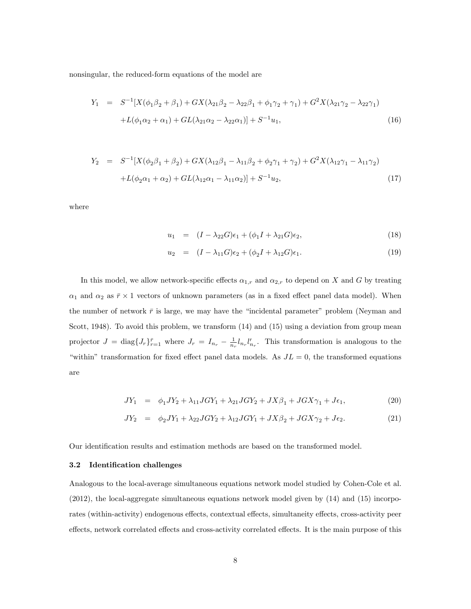nonsingular, the reduced-form equations of the model are

$$
Y_1 = S^{-1}[X(\phi_1\beta_2 + \beta_1) + GX(\lambda_{21}\beta_2 - \lambda_{22}\beta_1 + \phi_1\gamma_2 + \gamma_1) + G^2X(\lambda_{21}\gamma_2 - \lambda_{22}\gamma_1) + L(\phi_1\alpha_2 + \alpha_1) + GL(\lambda_{21}\alpha_2 - \lambda_{22}\alpha_1)] + S^{-1}u_1,
$$
\n(16)

$$
Y_2 = S^{-1}[X(\phi_2\beta_1 + \beta_2) + GX(\lambda_{12}\beta_1 - \lambda_{11}\beta_2 + \phi_2\gamma_1 + \gamma_2) + G^2X(\lambda_{12}\gamma_1 - \lambda_{11}\gamma_2) + L(\phi_2\alpha_1 + \alpha_2) + GL(\lambda_{12}\alpha_1 - \lambda_{11}\alpha_2)] + S^{-1}u_2,
$$
\n(17)

where

$$
u_1 = (I - \lambda_{22}G)\epsilon_1 + (\phi_1 I + \lambda_{21}G)\epsilon_2, \tag{18}
$$

$$
u_2 = (I - \lambda_{11}G)\epsilon_2 + (\phi_2 I + \lambda_{12}G)\epsilon_1.
$$
\n(19)

In this model, we allow network-specific effects  $\alpha_{1,r}$  and  $\alpha_{2,r}$  to depend on X and G by treating  $\alpha_1$  and  $\alpha_2$  as  $\bar{r} \times 1$  vectors of unknown parameters (as in a fixed effect panel data model). When the number of network  $\bar{r}$  is large, we may have the "incidental parameter" problem (Neyman and Scott, 1948). To avoid this problem, we transform  $(14)$  and  $(15)$  using a deviation from group mean projector  $J = \text{diag}\lbrace J_r \rbrace_{r=1}^{\bar{r}}$  where  $J_r = I_{n_r} - \frac{1}{n_r} l_{n_r} l'_{n_r}$ . This transformation is analogous to the "within" transformation for fixed effect panel data models. As  $JL = 0$ , the transformed equations are

$$
JY_1 = \phi_1 JY_2 + \lambda_{11} JGY_1 + \lambda_{21} JGY_2 + JX\beta_1 + JGX\gamma_1 + J\epsilon_1, \tag{20}
$$

$$
JY_2 = \phi_2 JY_1 + \lambda_{22} JGY_2 + \lambda_{12} JGY_1 + JX\beta_2 + JGX\gamma_2 + J\epsilon_2.
$$
 (21)

Our identification results and estimation methods are based on the transformed model.

### 3.2 Identification challenges

Analogous to the local-average simultaneous equations network model studied by Cohen-Cole et al. (2012), the local-aggregate simultaneous equations network model given by (14) and (15) incorporates (within-activity) endogenous effects, contextual effects, simultaneity effects, cross-activity peer effects, network correlated effects and cross-activity correlated effects. It is the main purpose of this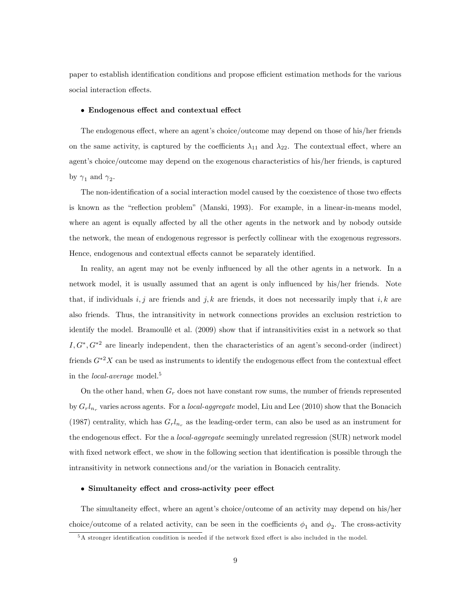paper to establish identification conditions and propose efficient estimation methods for the various social interaction effects.

### $\bullet$  Endogenous effect and contextual effect

The endogenous effect, where an agent's choice/outcome may depend on those of his/her friends on the same activity, is captured by the coefficients  $\lambda_{11}$  and  $\lambda_{22}$ . The contextual effect, where an agent's choice/outcome may depend on the exogenous characteristics of his/her friends, is captured by  $\gamma_1$  and  $\gamma_2$ .

The non-identification of a social interaction model caused by the coexistence of those two effects is known as the "reflection problem" (Manski, 1993). For example, in a linear-in-means model, where an agent is equally affected by all the other agents in the network and by nobody outside the network, the mean of endogenous regressor is perfectly collinear with the exogenous regressors. Hence, endogenous and contextual effects cannot be separately identified.

In reality, an agent may not be evenly influenced by all the other agents in a network. In a network model, it is usually assumed that an agent is only influenced by his/her friends. Note that, if individuals  $i, j$  are friends and  $j, k$  are friends, it does not necessarily imply that  $i, k$  are also friends. Thus, the intransitivity in network connections provides an exclusion restriction to identify the model. Bramoullé et al. (2009) show that if intransitivities exist in a network so that  $I, G^*, G^{*2}$  are linearly independent, then the characteristics of an agent's second-order (indirect) friends  $G^*{}^2X$  can be used as instruments to identify the endogenous effect from the contextual effect in the *local-average* model.<sup>5</sup>

On the other hand, when  $G_r$  does not have constant row sums, the number of friends represented by  $G_r l_{n_r}$  varies across agents. For a *local-aggregate* model, Liu and Lee (2010) show that the Bonacich (1987) centrality, which has  $G_r l_{n_r}$  as the leading-order term, can also be used as an instrument for the endogenous effect. For the a *local-aggregate* seemingly unrelated regression (SUR) network model with fixed network effect, we show in the following section that identification is possible through the intransitivity in network connections and/or the variation in Bonacich centrality.

### $\bullet$  Simultaneity effect and cross-activity peer effect

The simultaneity effect, where an agent's choice/outcome of an activity may depend on his/her choice/outcome of a related activity, can be seen in the coefficients  $\phi_1$  and  $\phi_2$ . The cross-activity

 $5A$  stronger identification condition is needed if the network fixed effect is also included in the model.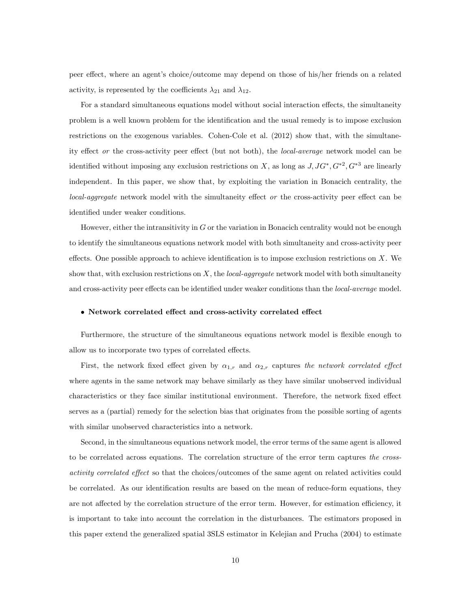peer effect, where an agent's choice/outcome may depend on those of his/her friends on a related activity, is represented by the coefficients  $\lambda_{21}$  and  $\lambda_{12}$ .

For a standard simultaneous equations model without social interaction effects, the simultaneity problem is a well known problem for the identiÖcation and the usual remedy is to impose exclusion restrictions on the exogenous variables. Cohen-Cole et al. (2012) show that, with the simultaneity effect or the cross-activity peer effect (but not both), the local-average network model can be identified without imposing any exclusion restrictions on X, as long as  $J, JG^*, G^{*2}, G^{*3}$  are linearly independent. In this paper, we show that, by exploiting the variation in Bonacich centrality, the  $local-aggregate$  network model with the simultaneity effect or the cross-activity peer effect can be identified under weaker conditions.

However, either the intransitivity in  $G$  or the variation in Bonacich centrality would not be enough to identify the simultaneous equations network model with both simultaneity and cross-activity peer effects. One possible approach to achieve identification is to impose exclusion restrictions on  $X$ . We show that, with exclusion restrictions on  $X$ , the *local-aggregate* network model with both simultaneity and cross-activity peer effects can be identified under weaker conditions than the *local-average* model.

### • Network correlated effect and cross-activity correlated effect

Furthermore, the structure of the simultaneous equations network model is flexible enough to allow us to incorporate two types of correlated effects.

First, the network fixed effect given by  $\alpha_{1,r}$  and  $\alpha_{2,r}$  captures the network correlated effect where agents in the same network may behave similarly as they have similar unobserved individual characteristics or they face similar institutional environment. Therefore, the network fixed effect serves as a (partial) remedy for the selection bias that originates from the possible sorting of agents with similar unobserved characteristics into a network.

Second, in the simultaneous equations network model, the error terms of the same agent is allowed to be correlated across equations. The correlation structure of the error term captures the crossactivity correlated effect so that the choices/outcomes of the same agent on related activities could be correlated. As our identification results are based on the mean of reduce-form equations, they are not affected by the correlation structure of the error term. However, for estimation efficiency, it is important to take into account the correlation in the disturbances. The estimators proposed in this paper extend the generalized spatial 3SLS estimator in Kelejian and Prucha (2004) to estimate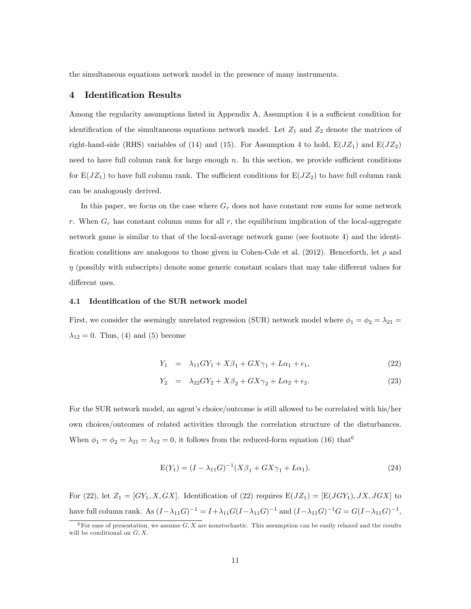the simultaneous equations network model in the presence of many instruments.

### 4 Identification Results

Among the regularity assumptions listed in Appendix A, Assumption 4 is a sufficient condition for identification of the simultaneous equations network model. Let  $Z_1$  and  $Z_2$  denote the matrices of right-hand-side (RHS) variables of (14) and (15). For Assumption 4 to hold,  $E(JZ_1)$  and  $E(JZ_2)$ need to have full column rank for large enough  $n$ . In this section, we provide sufficient conditions for  $E(JZ_1)$  to have full column rank. The sufficient conditions for  $E(JZ_2)$  to have full column rank can be analogously derived.

In this paper, we focus on the case where  $G_r$  does not have constant row sums for some network r. When  $G_r$  has constant column sums for all r, the equilibrium implication of the local-aggregate network game is similar to that of the local-average network game (see footnote 4) and the identification conditions are analogous to those given in Cohen-Cole et al. (2012). Henceforth, let  $\rho$  and  $\eta$  (possibly with subscripts) denote some generic constant scalars that may take different values for different uses.

### 4.1 Identification of the SUR network model

First, we consider the seemingly unrelated regression (SUR) network model where  $\phi_1 = \phi_2 = \lambda_{21}$  =  $\lambda_{12} = 0$ . Thus, (4) and (5) become

$$
Y_1 = \lambda_{11} G Y_1 + X \beta_1 + G X \gamma_1 + L \alpha_1 + \epsilon_1, \tag{22}
$$

$$
Y_2 = \lambda_{22} G Y_2 + X \beta_2 + G X \gamma_2 + L \alpha_2 + \epsilon_2. \tag{23}
$$

For the SUR network model, an agent's choice/outcome is still allowed to be correlated with his/her own choices/outcomes of related activities through the correlation structure of the disturbances. When  $\phi_1 = \phi_2 = \lambda_{21} = \lambda_{12} = 0$ , it follows from the reduced-form equation (16) that<sup>6</sup>

$$
E(Y_1) = (I - \lambda_{11}G)^{-1}(X\beta_1 + GX\gamma_1 + L\alpha_1).
$$
 (24)

For (22), let  $Z_1 = [GY_1, X, GX]$ . Identification of (22) requires  $E(JZ_1) = [E(JGY_1), JX, JGX]$  to have full column rank. As  $(I - \lambda_{11}G)^{-1} = I + \lambda_{11}G(I - \lambda_{11}G)^{-1}$  and  $(I - \lambda_{11}G)^{-1}G = G(I - \lambda_{11}G)^{-1}$ ,

 $^6$  For ease of presentation, we assume  $G, X$  are nonstochastic. This assumption can be easily relaxed and the results will be conditional on  $G, X$ .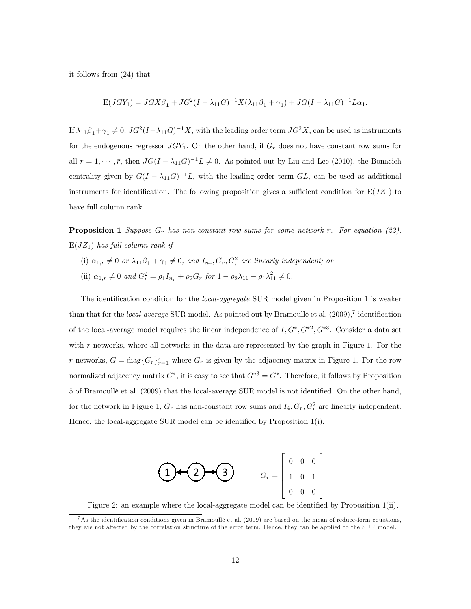it follows from (24) that

$$
E(JGY_1) = JGX\beta_1 + JG^2(I - \lambda_{11}G)^{-1}X(\lambda_{11}\beta_1 + \gamma_1) + JG(I - \lambda_{11}G)^{-1}L\alpha_1.
$$

If  $\lambda_{11}\beta_1+\gamma_1\neq 0$ ,  $JG^2(I-\lambda_{11}G)^{-1}X$ , with the leading order term  $JG^2X$ , can be used as instruments for the endogenous regressor  $JGY_1$ . On the other hand, if  $G_r$  does not have constant row sums for all  $r = 1, \dots, \bar{r}$ , then  $JG(I - \lambda_{11}G)^{-1}L \neq 0$ . As pointed out by Liu and Lee (2010), the Bonacich centrality given by  $G(I - \lambda_{11}G)^{-1}L$ , with the leading order term  $GL$ , can be used as additional instruments for identification. The following proposition gives a sufficient condition for  $E(JZ_1)$  to have full column rank.

**Proposition 1** Suppose  $G_r$  has non-constant row sums for some network r. For equation (22),  $E(JZ_1)$  has full column rank if

- (i)  $\alpha_{1,r} \neq 0$  or  $\lambda_{11}\beta_1 + \gamma_1 \neq 0$ , and  $I_{n_r}, G_r, G_r^2$  are linearly independent; or
- (ii)  $\alpha_{1,r} \neq 0$  and  $G_r^2 = \rho_1 I_{n_r} + \rho_2 G_r$  for  $1 \rho_2 \lambda_{11} \rho_1 \lambda_{11}^2 \neq 0$ .

The identification condition for the *local-aggregate* SUR model given in Proposition 1 is weaker than that for the *local-average* SUR model. As pointed out by Bramoullé et al.  $(2009)$ ,<sup>7</sup> identification of the local-average model requires the linear independence of  $I, G^*, G^{*2}, G^{*3}$ . Consider a data set with  $\bar{r}$  networks, where all networks in the data are represented by the graph in Figure 1. For the  $\bar{r}$  networks,  $G = \text{diag}\{G_r\}_{r=1}^{\bar{r}}$  where  $G_r$  is given by the adjacency matrix in Figure 1. For the row normalized adjacency matrix  $G^*$ , it is easy to see that  $G^{*3} = G^*$ . Therefore, it follows by Proposition 5 of Bramoullé et al. (2009) that the local-average SUR model is not identified. On the other hand, for the network in Figure 1,  $G_r$  has non-constant row sums and  $I_4, G_r, G_r^2$  are linearly independent. Hence, the local-aggregate SUR model can be identified by Proposition  $1(i)$ .



Figure 2: an example where the local-aggregate model can be identified by Proposition  $1(ii)$ .

<sup>&</sup>lt;sup>7</sup>As the identification conditions given in Bramoullé et al. (2009) are based on the mean of reduce-form equations, they are not affected by the correlation structure of the error term. Hence, they can be applied to the SUR model.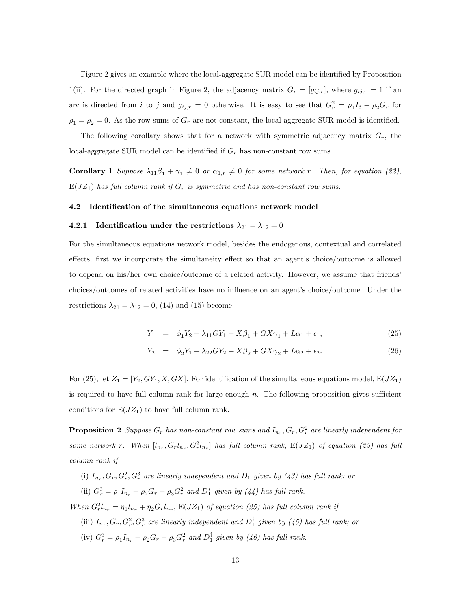Figure 2 gives an example where the local-aggregate SUR model can be identified by Proposition 1(ii). For the directed graph in Figure 2, the adjacency matrix  $G_r = [g_{ij,r}]$ , where  $g_{ij,r} = 1$  if an arc is directed from i to j and  $g_{ij,r} = 0$  otherwise. It is easy to see that  $G_r^2 = \rho_1 I_3 + \rho_2 G_r$  for  $\rho_1 = \rho_2 = 0$ . As the row sums of  $G_r$  are not constant, the local-aggregate SUR model is identified.

The following corollary shows that for a network with symmetric adjacency matrix  $G_r$ , the local-aggregate SUR model can be identified if  $G_r$  has non-constant row sums.

**Corollary 1** Suppose  $\lambda_{11}\beta_1 + \gamma_1 \neq 0$  or  $\alpha_{1,r} \neq 0$  for some network r. Then, for equation (22),  $E(JZ_1)$  has full column rank if  $G_r$  is symmetric and has non-constant row sums.

### 4.2 Identification of the simultaneous equations network model

### 4.2.1 Identification under the restrictions  $\lambda_{21} = \lambda_{12} = 0$

For the simultaneous equations network model, besides the endogenous, contextual and correlated effects, first we incorporate the simultaneity effect so that an agent's choice/outcome is allowed to depend on his/her own choice/outcome of a related activity. However, we assume that friends choices/outcomes of related activities have no influence on an agent's choice/outcome. Under the restrictions  $\lambda_{21} = \lambda_{12} = 0$ , (14) and (15) become

$$
Y_1 = \phi_1 Y_2 + \lambda_{11} G Y_1 + X\beta_1 + G X\gamma_1 + L\alpha_1 + \epsilon_1, \tag{25}
$$

$$
Y_2 = \phi_2 Y_1 + \lambda_{22} G Y_2 + X \beta_2 + G X \gamma_2 + L \alpha_2 + \epsilon_2. \tag{26}
$$

For (25), let  $Z_1 = [Y_2, GY_1, X, GX]$ . For identification of the simultaneous equations model,  $E(JZ_1)$ is required to have full column rank for large enough  $n$ . The following proposition gives sufficient conditions for  $E(JZ_1)$  to have full column rank.

**Proposition 2** Suppose  $G_r$  has non-constant row sums and  $I_{n_r}, G_r, G_r^2$  are linearly independent for some network r. When  $[l_{n_r}, G_r l_{n_r}, G_r^2 l_{n_r}]$  has full column rank,  $E(JZ_1)$  of equation (25) has full column rank if

- (i)  $I_{n_r}, G_r, G_r^2, G_r^3$  are linearly independent and  $D_1$  given by (43) has full rank; or
- (ii)  $G_r^3 = \rho_1 I_{n_r} + \rho_2 G_r + \rho_3 G_r^2$  and  $D_1^*$  given by (44) has full rank.

When  $G_r^2 l_{n_r} = \eta_1 l_{n_r} + \eta_2 G_r l_{n_r}$ ,  $E(JZ_1)$  of equation (25) has full column rank if

- (iii)  $I_{n_r}, G_r, G_r^2, G_r^3$  are linearly independent and  $D_1^{\dagger}$  given by (45) has full rank; or
- (iv)  $G_r^3 = \rho_1 I_{n_r} + \rho_2 G_r + \rho_3 G_r^2$  and  $D_1^{\dagger}$  given by (46) has full rank.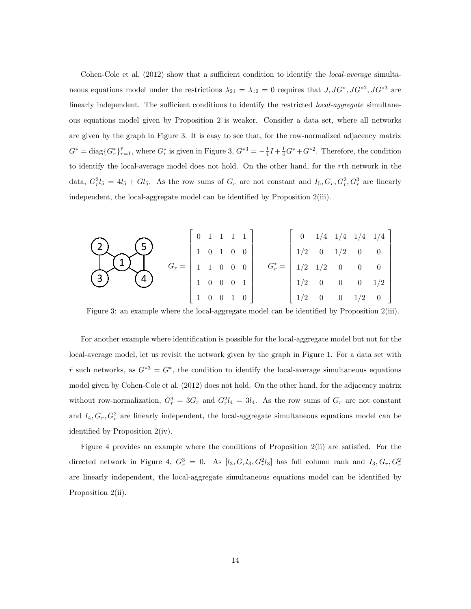Cohen-Cole et al.  $(2012)$  show that a sufficient condition to identify the *local-average* simultaneous equations model under the restrictions  $\lambda_{21} = \lambda_{12} = 0$  requires that  $J, JG^*, JG^{*2}, JG^{*3}$  are linearly independent. The sufficient conditions to identify the restricted local-aggregate simultaneous equations model given by Proposition 2 is weaker. Consider a data set, where all networks are given by the graph in Figure 3. It is easy to see that, for the row-normalized adjacency matrix  $G^* = \text{diag}\{G_r^*\}_{r=1}^{\bar{r}},$  where  $G_r^*$  is given in Figure 3,  $G^{*3} = -\frac{1}{4}I + \frac{1}{4}G^* + G^{*2}$ . Therefore, the condition to identify the local-average model does not hold. On the other hand, for the rth network in the data,  $G_r^2 l_5 = 4l_5 + Gl_5$ . As the row sums of  $G_r$  are not constant and  $I_5, G_r, G_r^2, G_r^3$  are linearly independent, the local-aggregate model can be identified by Proposition  $2(iii)$ .

$$
\begin{array}{c}\n\begin{pmatrix}\n\mathbf{5} \\
\mathbf{1} & \mathbf{0} \\
\mathbf{1} & \mathbf{0} \\
\mathbf{0} & \mathbf{0} \\
\mathbf{1} & \mathbf{0} \\
\mathbf{0} & \mathbf{0} \\
\mathbf{1} & \mathbf{0} \\
\mathbf{0} & \mathbf{0} \\
\mathbf{1} & \mathbf{0} \\
\mathbf{0} & \mathbf{0} \\
\mathbf{1} & \mathbf{0} \\
\mathbf{0} & \mathbf{0} \\
\mathbf{1} & \mathbf{0} \\
\mathbf{0} & \mathbf{0} \\
\mathbf{1} & \mathbf{0} \\
\mathbf{0} & \mathbf{0} \\
\mathbf{1} & \mathbf{0} \\
\mathbf{0} & \mathbf{0} \\
\mathbf{1} & \mathbf{0} \\
\mathbf{0} & \mathbf{0} \\
\mathbf{1} & \mathbf{0} \\
\mathbf{0} & \mathbf{0} \\
\mathbf{1} & \mathbf{0} \\
\mathbf{0} & \mathbf{0} \\
\mathbf{1} & \mathbf{0} \\
\mathbf{0} & \mathbf{0} \\
\mathbf{1} & \mathbf{0} \\
\mathbf{0} & \mathbf{0} \\
\mathbf{1} & \mathbf{0} \\
\mathbf{0} & \mathbf{0} \\
\mathbf{1} & \mathbf{0} \\
\mathbf{0} & \mathbf{0} \\
\mathbf{1} & \mathbf{0} \\
\mathbf{0} & \mathbf{0} \\
\mathbf{1} & \mathbf{0} \\
\mathbf{0} & \mathbf{0} \\
\mathbf{0} & \mathbf{0} \\
\mathbf{1} & \mathbf{0} \\
\mathbf{0} & \mathbf{0} \\
\mathbf{0} & \mathbf{0} \\
\mathbf{1} & \mathbf{0} \\
\mathbf{0} & \mathbf{0} \\
\mathbf{0} & \mathbf{0} \\
\mathbf{0} & \mathbf{0} \\
\mathbf{0} & \mathbf{0} \\
\mathbf{0} & \mathbf{0} \\
\mathbf{0} & \mathbf{0} \\
\mathbf{0} & \mathbf{0} \\
\mathbf{0} & \mathbf{0} \\
\mathbf{0} & \mathbf{0} \\
\mathbf{0} & \mathbf{0} \\
\mathbf{0} & \mathbf{0} \\
\mathbf{0} & \mathbf{0} \\
\mathbf{0} & \mathbf
$$

Figure 3: an example where the local-aggregate model can be identified by Proposition 2(iii).

For another example where identification is possible for the local-aggregate model but not for the local-average model, let us revisit the network given by the graph in Figure 1. For a data set with  $\bar{r}$  such networks, as  $G^{*3} = G^*$ , the condition to identify the local-average simultaneous equations model given by Cohen-Cole et al. (2012) does not hold. On the other hand, for the adjacency matrix without row-normalization,  $G_r^3 = 3G_r$  and  $G_r^2 l_4 = 3l_4$ . As the row sums of  $G_r$  are not constant and  $I_4, G_r, G_r^2$  are linearly independent, the local-aggregate simultaneous equations model can be identified by Proposition  $2(iv)$ .

Figure 4 provides an example where the conditions of Proposition  $2(ii)$  are satisfied. For the directed network in Figure 4,  $G_r^3 = 0$ . As  $[l_3, G_r l_3, G_r^2 l_3]$  has full column rank and  $I_3, G_r, G_r^2$ are linearly independent, the local-aggregate simultaneous equations model can be identified by Proposition 2(ii).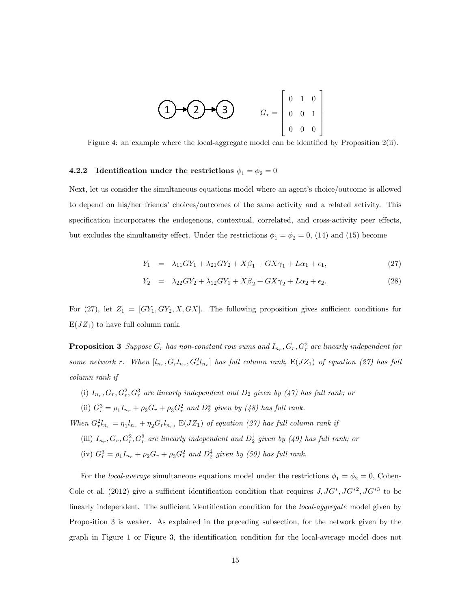

Figure 4: an example where the local-aggregate model can be identified by Proposition  $2(i)$ .

## 4.2.2 Identification under the restrictions  $\phi_1 = \phi_2 = 0$

Next, let us consider the simultaneous equations model where an agent's choice/outcome is allowed to depend on his/her friends' choices/outcomes of the same activity and a related activity. This specification incorporates the endogenous, contextual, correlated, and cross-activity peer effects, but excludes the simultaneity effect. Under the restrictions  $\phi_1 = \phi_2 = 0$ , (14) and (15) become

$$
Y_1 = \lambda_{11} G Y_1 + \lambda_{21} G Y_2 + X \beta_1 + G X \gamma_1 + L \alpha_1 + \epsilon_1, \tag{27}
$$

$$
Y_2 = \lambda_{22} G Y_2 + \lambda_{12} G Y_1 + X \beta_2 + G X \gamma_2 + L \alpha_2 + \epsilon_2. \tag{28}
$$

For  $(27)$ , let  $Z_1 = [GY_1, GY_2, X, GX]$ . The following proposition gives sufficient conditions for  $E(JZ_1)$  to have full column rank.

**Proposition 3** Suppose  $G_r$  has non-constant row sums and  $I_{n_r}, G_r, G_r^2$  are linearly independent for some network r. When  $[l_{n_r}, G_r l_{n_r}, G_r^2 l_{n_r}]$  has full column rank,  $E(JZ_1)$  of equation (27) has full column rank if

(i)  $I_{n_r}, G_r, G_r^2, G_r^3$  are linearly independent and  $D_2$  given by  $(47)$  has full rank; or

(ii)  $G_r^3 = \rho_1 I_{n_r} + \rho_2 G_r + \rho_3 G_r^2$  and  $D_2^*$  given by (48) has full rank.

When  $G_r^2 l_{n_r} = \eta_1 l_{n_r} + \eta_2 G_r l_{n_r}$ ,  $E(JZ_1)$  of equation (27) has full column rank if

- (iii)  $I_{n_r}, G_r, G_r^2, G_r^3$  are linearly independent and  $D_2^{\dagger}$  given by (49) has full rank; or
- (iv)  $G_r^3 = \rho_1 I_{n_r} + \rho_2 G_r + \rho_3 G_r^2$  and  $D_2^{\ddagger}$  given by (50) has full rank.

For the *local-average* simultaneous equations model under the restrictions  $\phi_1 = \phi_2 = 0$ , Cohen-Cole et al. (2012) give a sufficient identification condition that requires  $J, JG^*, JG^{*2}, JG^{*3}$  to be linearly independent. The sufficient identification condition for the *local-aggregate* model given by Proposition 3 is weaker. As explained in the preceding subsection, for the network given by the graph in Figure 1 or Figure 3, the identification condition for the local-average model does not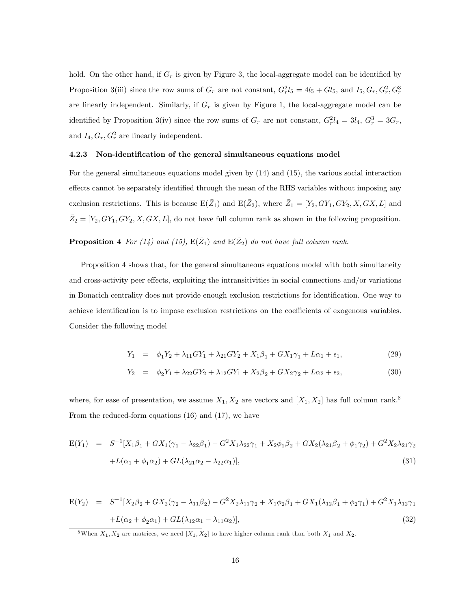hold. On the other hand, if  $G_r$  is given by Figure 3, the local-aggregate model can be identified by Proposition 3(iii) since the row sums of  $G_r$  are not constant,  $G_r^2 l_5 = 4l_5 + Gl_5$ , and  $I_5, G_r, G_r^2, G_r^3$ are linearly independent. Similarly, if  $G_r$  is given by Figure 1, the local-aggregate model can be identified by Proposition 3(iv) since the row sums of  $G_r$  are not constant,  $G_r^2 l_4 = 3l_4$ ,  $G_r^3 = 3G_r$ , and  $I_4, G_r, G_r^2$  are linearly independent.

### 4.2.3 Non-identification of the general simultaneous equations model

For the general simultaneous equations model given by (14) and (15), the various social interaction effects cannot be separately identified through the mean of the RHS variables without imposing any exclusion restrictions. This is because  $E(\bar{Z}_1)$  and  $E(\bar{Z}_2)$ , where  $\bar{Z}_1 = [Y_2, GY_1, GY_2, X, GX, L]$  and  $\bar{Z}_2 = [Y_2, GY_1, GY_2, X, GX, L]$ , do not have full column rank as shown in the following proposition.

**Proposition 4** For (14) and (15),  $E(\bar{Z}_1)$  and  $E(\bar{Z}_2)$  do not have full column rank.

Proposition 4 shows that, for the general simultaneous equations model with both simultaneity and cross-activity peer effects, exploiting the intransitivities in social connections and/or variations in Bonacich centrality does not provide enough exclusion restrictions for identification. One way to achieve identification is to impose exclusion restrictions on the coefficients of exogenous variables. Consider the following model

$$
Y_1 = \phi_1 Y_2 + \lambda_{11} G Y_1 + \lambda_{21} G Y_2 + X_1 \beta_1 + G X_1 \gamma_1 + L \alpha_1 + \epsilon_1, \tag{29}
$$

$$
Y_2 = \phi_2 Y_1 + \lambda_{22} G Y_2 + \lambda_{12} G Y_1 + X_2 \beta_2 + G X_2 \gamma_2 + L \alpha_2 + \epsilon_2, \tag{30}
$$

where, for ease of presentation, we assume  $X_1, X_2$  are vectors and  $[X_1, X_2]$  has full column rank.<sup>8</sup> From the reduced-form equations (16) and (17), we have

$$
E(Y_1) = S^{-1}[X_1\beta_1 + GX_1(\gamma_1 - \lambda_{22}\beta_1) - G^2X_1\lambda_{22}\gamma_1 + X_2\phi_1\beta_2 + GX_2(\lambda_{21}\beta_2 + \phi_1\gamma_2) + G^2X_2\lambda_{21}\gamma_2
$$
  
+ $L(\alpha_1 + \phi_1\alpha_2) + GL(\lambda_{21}\alpha_2 - \lambda_{22}\alpha_1)],$  (31)

$$
E(Y_2) = S^{-1}[X_2\beta_2 + GX_2(\gamma_2 - \lambda_{11}\beta_2) - G^2X_2\lambda_{11}\gamma_2 + X_1\phi_2\beta_1 + GX_1(\lambda_{12}\beta_1 + \phi_2\gamma_1) + G^2X_1\lambda_{12}\gamma_1
$$
  
+ $L(\alpha_2 + \phi_2\alpha_1) + GL(\lambda_{12}\alpha_1 - \lambda_{11}\alpha_2)],$  (32)

<sup>8</sup>When  $X_1, X_2$  are matrices, we need  $[X_1, X_2]$  to have higher column rank than both  $X_1$  and  $X_2$ .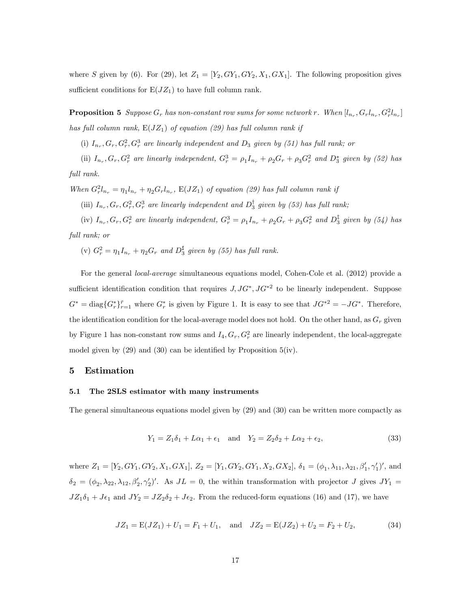where S given by (6). For (29), let  $Z_1 = [Y_2, GY_1, GY_2, X_1, GX_1]$ . The following proposition gives sufficient conditions for  $E(JZ_1)$  to have full column rank.

**Proposition 5** Suppose  $G_r$  has non-constant row sums for some network r. When  $[l_{n_r}, G_r l_{n_r}, G_r^2 l_{n_r}]$ has full column rank,  $E(JZ_1)$  of equation (29) has full column rank if

(i)  $I_{n_r}, G_r, G_r^2, G_r^3$  are linearly independent and  $D_3$  given by (51) has full rank; or

(ii)  $I_{n_r}, G_r, G_r^2$  are linearly independent,  $G_r^3 = \rho_1 I_{n_r} + \rho_2 G_r + \rho_3 G_r^2$  and  $D_3^*$  given by (52) has full rank.

When  $G_r^2 l_{n_r} = \eta_1 l_{n_r} + \eta_2 G_r l_{n_r}$ ,  $E(JZ_1)$  of equation (29) has full column rank if

(iii)  $I_{n_r}, G_r, G_r^2, G_r^3$  are linearly independent and  $D_3^{\dagger}$  given by (53) has full rank;

(iv)  $I_{n_r}, G_r, G_r^2$  are linearly independent,  $G_r^3 = \rho_1 I_{n_r} + \rho_2 G_r + \rho_3 G_r^2$  and  $D_3^{\ddagger}$  given by (54) has full rank; or

(v)  $G_r^2 = \eta_1 I_{n_r} + \eta_2 G_r$  and  $D_3^{\sharp}$  given by (55) has full rank.

For the general local-average simultaneous equations model, Cohen-Cole et al. (2012) provide a sufficient identification condition that requires  $J, J G^*, J G^{*2}$  to be linearly independent. Suppose  $G^* = \text{diag}\{G_r^*\}_{r=1}^{\bar{r}}$  where  $G_r^*$  is given by Figure 1. It is easy to see that  $J G^{*2} = -J G^*$ . Therefore, the identification condition for the local-average model does not hold. On the other hand, as  $G_r$  given by Figure 1 has non-constant row sums and  $I_4, G_r, G_r^2$  are linearly independent, the local-aggregate model given by  $(29)$  and  $(30)$  can be identified by Proposition 5(iv).

### 5 Estimation

### 5.1 The 2SLS estimator with many instruments

The general simultaneous equations model given by (29) and (30) can be written more compactly as

$$
Y_1 = Z_1 \delta_1 + L\alpha_1 + \epsilon_1
$$
 and  $Y_2 = Z_2 \delta_2 + L\alpha_2 + \epsilon_2$ , (33)

where  $Z_1 = [Y_2, GY_1, GY_2, X_1, GX_1]$ ,  $Z_2 = [Y_1, GY_2, GY_1, X_2, GX_2]$ ,  $\delta_1 = (\phi_1, \lambda_{11}, \lambda_{21}, \beta'_1, \gamma'_1)'$ , and  $\delta_2 = (\phi_2, \lambda_{22}, \lambda_{12}, \beta'_2, \gamma'_2)'$ . As  $JL = 0$ , the within transformation with projector J gives  $JY_1 =$  $JZ_1\delta_1 + J\epsilon_1$  and  $JY_2 = JZ_2\delta_2 + J\epsilon_2$ . From the reduced-form equations (16) and (17), we have

$$
JZ_1 = E(JZ_1) + U_1 = F_1 + U_1, \text{ and } JZ_2 = E(JZ_2) + U_2 = F_2 + U_2,
$$
 (34)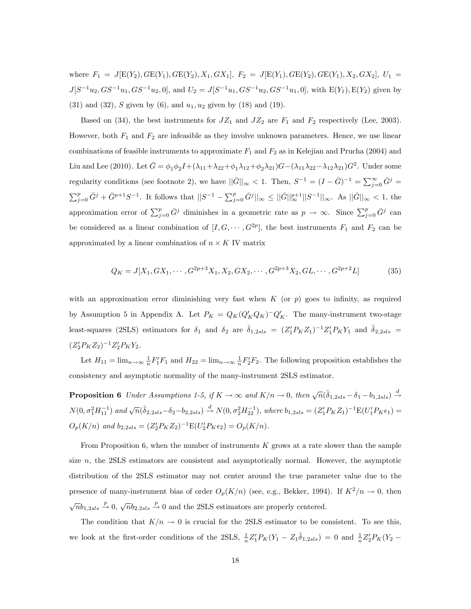where  $F_1 = J[E(Y_2), GE(Y_1), GE(Y_2), X_1, GX_1], F_2 = J[E(Y_1), GE(Y_2), GE(Y_1), X_2, GX_2], U_1$  $J[S^{-1}u_2, GS^{-1}u_1, GS^{-1}u_2, 0]$ , and  $U_2 = J[S^{-1}u_1, GS^{-1}u_2, GS^{-1}u_1, 0]$ , with  $E(Y_1), E(Y_2)$  given by (31) and (32), S given by (6), and  $u_1, u_2$  given by (18) and (19).

Based on (34), the best instruments for  $JZ_1$  and  $JZ_2$  are  $F_1$  and  $F_2$  respectively (Lee, 2003). However, both  $F_1$  and  $F_2$  are infeasible as they involve unknown parameters. Hence, we use linear combinations of feasible instruments to approximate  $F_1$  and  $F_2$  as in Kelejian and Prucha (2004) and Liu and Lee (2010). Let  $\bar{G} = \phi_1 \phi_2 I + (\lambda_{11} + \lambda_{22} + \phi_1 \lambda_{12} + \phi_2 \lambda_{21})G - (\lambda_{11}\lambda_{22} - \lambda_{12}\lambda_{21})G^2$ . Under some regularity conditions (see footnote 2), we have  $\|\bar{G}\|_{\infty} < 1$ . Then,  $S^{-1} = (I - \bar{G})^{-1} = \sum_{j=0}^{\infty} \bar{G}^{j} =$  $\sum_{j=0}^p \bar{G}^j + \bar{G}^{p+1}S^{-1}$ . It follows that  $||S^{-1} - \sum_{j=0}^p \bar{G}^j||_{\infty} \le ||\bar{G}||_{\infty}^{p+1}||S^{-1}||_{\infty}$ . As  $||\bar{G}||_{\infty} < 1$ , the approximation error of  $\sum_{j=0}^{p} \bar{G}^j$  diminishes in a geometric rate as  $p \to \infty$ . Since  $\sum_{j=0}^{p} \bar{G}^j$  can be considered as a linear combination of  $[I, G, \dots, G^{2p}]$ , the best instruments  $F_1$  and  $F_2$  can be approximated by a linear combination of  $n \times K$  IV matrix

$$
Q_K = J[X_1, GX_1, \cdots, G^{2p+3}X_1, X_2, GX_2, \cdots, G^{2p+3}X_2, GL, \cdots, G^{2p+2}L]
$$
(35)

with an approximation error diminishing very fast when  $K$  (or  $p$ ) goes to infinity, as required by Assumption 5 in Appendix A. Let  $P_K = Q_K(Q'_KQ_K)^{-1}Q'_K$ . The many-instrument two-stage least-squares (2SLS) estimators for  $\delta_1$  and  $\delta_2$  are  $\hat{\delta}_{1,2sls} = (Z_1'P_KZ_1)^{-1}Z_1'P_KY_1$  and  $\hat{\delta}_{2,2sls}$  $(Z_2'P_KZ_2)^{-1}Z_2'P_KY_2.$ 

Let  $H_{11} = \lim_{n \to \infty} \frac{1}{n} F_1' F_1$  and  $H_{22} = \lim_{n \to \infty} \frac{1}{n} F_2' F_2$ . The following proposition establishes the consistency and asymptotic normality of the many-instrument 2SLS estimator.

**Proposition 6** Under Assumptions 1-5, if  $K \to \infty$  and  $K/n \to 0$ , then  $\sqrt{n}(\hat{\delta}_{1,2sls} - \delta_1 - b_{1,2sls}) \stackrel{d}{\to}$  $N(0, \sigma_1^2 H_{11}^{-1})$  and  $\sqrt{n}(\hat{\delta}_{2,2sls}-\delta_2-b_{2,2sls}) \stackrel{d}{\rightarrow} N(0, \sigma_2^2 H_{22}^{-1}),$  where  $b_{1,2sls} = (Z_1' P_K Z_1)^{-1} E(U_1' P_K \epsilon_1) =$  $O_p(K/n)$  and  $b_{2,2sls} = (Z_2'P_KZ_2)^{-1}E(U_2'P_K\epsilon_2) = O_p(K/n)$ .

From Proposition 6, when the number of instruments  $K$  grows at a rate slower than the sample size  $n$ , the 2SLS estimators are consistent and asymptotically normal. However, the asymptotic distribution of the 2SLS estimator may not center around the true parameter value due to the presence of many-instrument bias of order  $O_p(K/n)$  (see, e.g., Bekker, 1994). If  $K^2/n \to 0$ , then  $\sqrt{n}b_{1,2sls} \stackrel{p}{\rightarrow} 0$ ,  $\sqrt{n}b_{2,2sls} \stackrel{p}{\rightarrow} 0$  and the 2SLS estimators are properly centered.

The condition that  $K/n \to 0$  is crucial for the 2SLS estimator to be consistent. To see this, we look at the first-order conditions of the 2SLS,  $\frac{1}{n}Z_1'P_K(Y_1 - Z_1\hat{\delta}_{1,2sls}) = 0$  and  $\frac{1}{n}Z_2'P_K(Y_2 - Z_1\hat{\delta}_{1,2sls})$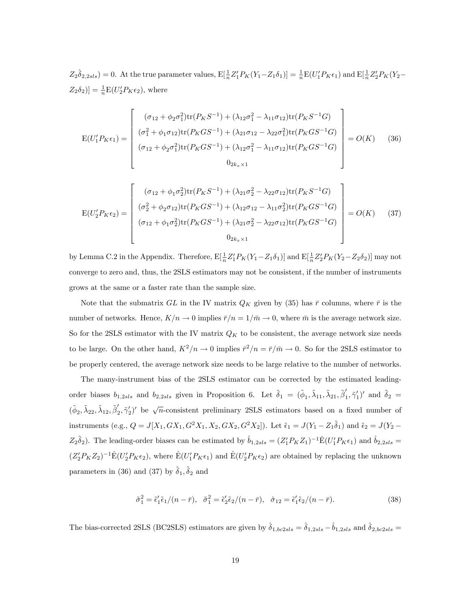$Z_2 \hat{\delta}_{2,2sls} = 0.$  At the true parameter values,  $E[\frac{1}{n}Z_1'P_K(Y_1 - Z_1\delta_1)] = \frac{1}{n}E(U_1'P_K\epsilon_1)$  and  $E[\frac{1}{n}Z_2'P_K(Y_2 - Z_1\delta_1)]$  $[Z_2 \delta_2] = \frac{1}{n} E(U'_2 P_K \epsilon_2)$ , where

$$
E(U_1'P_K\epsilon_1) = \begin{bmatrix} (\sigma_{12} + \phi_2 \sigma_1^2) \text{tr}(P_K S^{-1}) + (\lambda_{12} \sigma_1^2 - \lambda_{11} \sigma_{12}) \text{tr}(P_K S^{-1} G) \\ (\sigma_1^2 + \phi_1 \sigma_{12}) \text{tr}(P_K G S^{-1}) + (\lambda_{21} \sigma_{12} - \lambda_{22} \sigma_1^2) \text{tr}(P_K G S^{-1} G) \\ (\sigma_{12} + \phi_2 \sigma_1^2) \text{tr}(P_K G S^{-1}) + (\lambda_{12} \sigma_1^2 - \lambda_{11} \sigma_{12}) \text{tr}(P_K G S^{-1} G) \\ 0_{2k_x \times 1} \end{bmatrix} = O(K) \quad (36)
$$

$$
E(U_2'P_K\epsilon_2) = \begin{bmatrix} (\sigma_{12} + \phi_1 \sigma_2^2) \text{tr}(P_K S^{-1}) + (\lambda_{21} \sigma_2^2 - \lambda_{22} \sigma_{12}) \text{tr}(P_K S^{-1} G) \\ (\sigma_2^2 + \phi_2 \sigma_{12}) \text{tr}(P_K G S^{-1}) + (\lambda_{12} \sigma_{12} - \lambda_{11} \sigma_2^2) \text{tr}(P_K G S^{-1} G) \\ (\sigma_{12} + \phi_1 \sigma_2^2) \text{tr}(P_K G S^{-1}) + (\lambda_{21} \sigma_2^2 - \lambda_{22} \sigma_{12}) \text{tr}(P_K G S^{-1} G) \\ 0_{2k_x \times 1} \end{bmatrix} = O(K) \quad (37)
$$

by Lemma C.2 in the Appendix. Therefore,  $E[\frac{1}{n}Z_1'P_K(Y_1 - Z_1\delta_1)]$  and  $E[\frac{1}{n}Z_2'P_K(Y_2 - Z_2\delta_2)]$  may not converge to zero and, thus, the 2SLS estimators may not be consistent, if the number of instruments grows at the same or a faster rate than the sample size.

Note that the submatrix GL in the IV matrix  $Q_K$  given by (35) has  $\bar{r}$  columns, where  $\bar{r}$  is the number of networks. Hence,  $K/n \to 0$  implies  $\bar{r}/n = 1/\bar{m} \to 0$ , where  $\bar{m}$  is the average network size. So for the 2SLS estimator with the IV matrix  $Q_K$  to be consistent, the average network size needs to be large. On the other hand,  $K^2/n \to 0$  implies  $\bar{r}^2/n = \bar{r}/\bar{m} \to 0$ . So for the 2SLS estimator to be properly centered, the average network size needs to be large relative to the number of networks.

The many-instrument bias of the 2SLS estimator can be corrected by the estimated leadingorder biases  $b_{1,2sls}$  and  $b_{2,2sls}$  given in Proposition 6. Let  $\tilde{\delta}_1 = (\tilde{\phi}_1, \tilde{\lambda}_{11}, \tilde{\lambda}_{21}, \tilde{\beta}'_1, \tilde{\gamma}'_1)'$  and  $\tilde{\delta}_2 =$  $({\tilde{\phi}}_2, {\tilde{\lambda}}_{22}, {\tilde{\lambda}}_{12}, {\tilde{\beta}}'_2, {\tilde{\gamma}}'_2)'$  be  $\sqrt{n}$ -consistent preliminary 2SLS estimators based on a fixed number of instruments (e.g.,  $Q = J[X_1, GX_1, G^2X_1, X_2, GX_2, G^2X_2]$ ). Let  $\tilde{\epsilon}_1 = J(Y_1 - Z_1\tilde{\delta}_1)$  and  $\tilde{\epsilon}_2 = J(Y_2 - Y_1\tilde{\delta}_2)$  $Z_2\tilde{\delta}_2$ ). The leading-order biases can be estimated by  $\hat{b}_{1,2sls} = (Z_1'P_KZ_1)^{-1}\hat{E}(U_1'P_K\epsilon_1)$  and  $\hat{b}_{2,2sls} =$  $(Z_2' P_K Z_2)^{-1} \hat{E}(U_2' P_K \epsilon_2)$ , where  $\hat{E}(U_1' P_K \epsilon_1)$  and  $\hat{E}(U_2' P_K \epsilon_2)$  are obtained by replacing the unknown parameters in (36) and (37) by  $\tilde{\delta}_1$ ,  $\tilde{\delta}_2$  and

$$
\tilde{\sigma}_1^2 = \tilde{\epsilon}_1' \tilde{\epsilon}_1 / (n - \bar{r}), \quad \tilde{\sigma}_1^2 = \tilde{\epsilon}_2' \tilde{\epsilon}_2 / (n - \bar{r}), \quad \hat{\sigma}_{12} = \tilde{\epsilon}_1' \tilde{\epsilon}_2 / (n - \bar{r}). \tag{38}
$$

The bias-corrected 2SLS (BC2SLS) estimators are given by  $\hat{\delta}_{1,bc2sls} = \hat{\delta}_{1,2sls} - \hat{b}_{1,2sls}$  and  $\hat{\delta}_{2,bc2sls} =$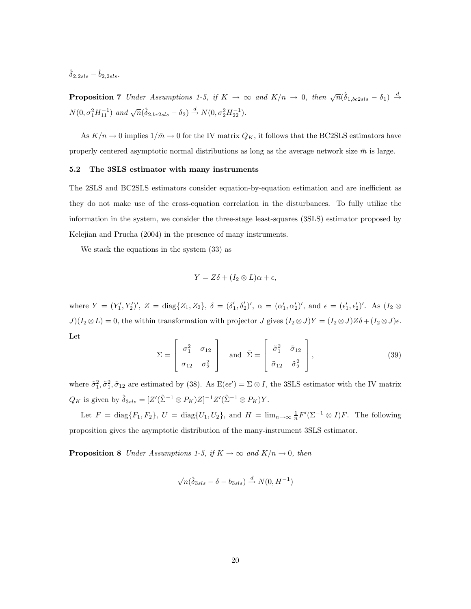$\hat{\delta}_2$  2sls  $-\hat{b}_2$  2sls.

**Proposition 7** Under Assumptions 1-5, if  $K \to \infty$  and  $K/n \to 0$ , then  $\sqrt{n}(\hat{\delta}_{1,bc2sls} - \delta_1) \stackrel{d}{\to}$  $N(0, \sigma_1^2 H_{11}^{-1})$  and  $\sqrt{n}(\hat{\delta}_{2, bc2sls} - \delta_2) \stackrel{d}{\rightarrow} N(0, \sigma_2^2 H_{22}^{-1}).$ 

As  $K/n \to 0$  implies  $1/\bar{m} \to 0$  for the IV matrix  $Q_K$ , it follows that the BC2SLS estimators have properly centered asymptotic normal distributions as long as the average network size  $\bar{m}$  is large.

### 5.2 The 3SLS estimator with many instruments

The 2SLS and BC2SLS estimators consider equation-by-equation estimation and are inefficient as they do not make use of the cross-equation correlation in the disturbances. To fully utilize the information in the system, we consider the three-stage least-squares (3SLS) estimator proposed by Kelejian and Prucha (2004) in the presence of many instruments.

We stack the equations in the system (33) as

$$
Y = Z\delta + (I_2 \otimes L)\alpha + \epsilon,
$$

where  $Y = (Y'_1, Y'_2)'$ ,  $Z = \text{diag}\{Z_1, Z_2\}$ ,  $\delta = (\delta'_1, \delta'_2)'$ ,  $\alpha = (\alpha'_1, \alpha'_2)'$ , and  $\epsilon = (\epsilon'_1, \epsilon'_2)'$ . As  $(I_2 \otimes$  $J)(I_2 \otimes L) = 0$ , the within transformation with projector  $J$  gives  $(I_2 \otimes J)Y = (I_2 \otimes J)Z\delta + (I_2 \otimes J)\epsilon$ . Let

$$
\Sigma = \begin{bmatrix} \sigma_1^2 & \sigma_{12} \\ \sigma_{12} & \sigma_2^2 \end{bmatrix} \text{ and } \tilde{\Sigma} = \begin{bmatrix} \tilde{\sigma}_1^2 & \tilde{\sigma}_{12} \\ \tilde{\sigma}_{12} & \tilde{\sigma}_2^2 \end{bmatrix},
$$
(39)

where  $\tilde{\sigma}_1^2$ ,  $\tilde{\sigma}_1^2$ ,  $\tilde{\sigma}_{12}$  are estimated by (38). As  $E(\epsilon \epsilon') = \Sigma \otimes I$ , the 3SLS estimator with the IV matrix  $Q_K$  is given by  $\hat{\delta}_{3sls} = [Z'(\tilde{\Sigma}^{-1} \otimes P_K)Z]^{-1}Z'(\tilde{\Sigma}^{-1} \otimes P_K)Y$ .

Let  $F = \text{diag}\{F_1, F_2\}$ ,  $U = \text{diag}\{U_1, U_2\}$ , and  $H = \lim_{n \to \infty} \frac{1}{n} F'(\Sigma^{-1} \otimes I)F$ . The following proposition gives the asymptotic distribution of the many-instrument 3SLS estimator.

**Proposition 8** Under Assumptions 1-5, if  $K \to \infty$  and  $K/n \to 0$ , then

$$
\sqrt{n}(\hat{\delta}_{3sls} - \delta - b_{3sls}) \xrightarrow{d} N(0, H^{-1})
$$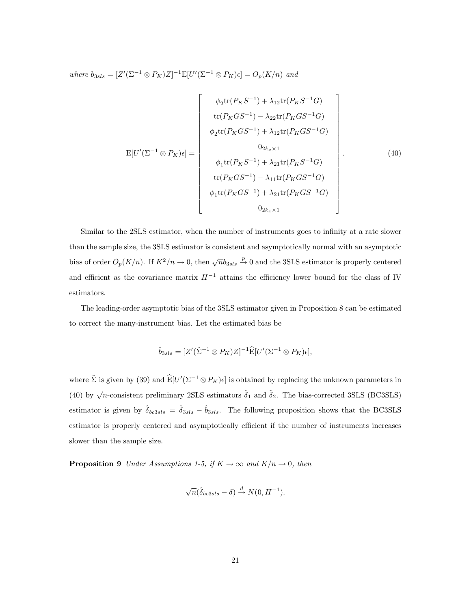where  $b_{3sls} = [Z'(\Sigma^{-1} \otimes P_K)Z]^{-1} E[U'(\Sigma^{-1} \otimes P_K)\epsilon] = O_p(K/n)$  and

$$
E[U'( \Sigma^{-1} \otimes P_K) \epsilon] = \begin{bmatrix} \phi_2 \text{tr}(P_K S^{-1}) + \lambda_{12} \text{tr}(P_K S^{-1} G) \\ \text{tr}(P_K G S^{-1}) - \lambda_{22} \text{tr}(P_K G S^{-1} G) \\ \phi_2 \text{tr}(P_K G S^{-1}) + \lambda_{12} \text{tr}(P_K G S^{-1} G) \\ 0_{2k_x \times 1} \\ \phi_1 \text{tr}(P_K S^{-1}) + \lambda_{21} \text{tr}(P_K S^{-1} G) \\ \text{tr}(P_K G S^{-1}) - \lambda_{11} \text{tr}(P_K G S^{-1} G) \\ \phi_1 \text{tr}(P_K G S^{-1}) + \lambda_{21} \text{tr}(P_K G S^{-1} G) \\ 0_{2k_x \times 1} \end{bmatrix} . \tag{40}
$$

Similar to the 2SLS estimator, when the number of instruments goes to infinity at a rate slower than the sample size, the 3SLS estimator is consistent and asymptotically normal with an asymptotic bias of order  $O_p(K/n)$ . If  $K^2/n \to 0$ , then  $\sqrt{n}b_{3sls} \stackrel{p}{\to} 0$  and the 3SLS estimator is properly centered and efficient as the covariance matrix  $H^{-1}$  attains the efficiency lower bound for the class of IV estimators.

The leading-order asymptotic bias of the 3SLS estimator given in Proposition 8 can be estimated to correct the many-instrument bias. Let the estimated bias be

$$
\hat{b}_{3sls} = [Z'(\tilde{\Sigma}^{-1} \otimes P_K)Z]^{-1} \widehat{\mathcal{E}}[U'(\Sigma^{-1} \otimes P_K)\epsilon],
$$

where  $\tilde{\Sigma}$  is given by (39) and  $\widehat{\mathbb{E}}[U'(\Sigma^{-1}\otimes P_K)\epsilon]$  is obtained by replacing the unknown parameters in (40) by  $\sqrt{n}$ -consistent preliminary 2SLS estimators  $\tilde{\delta}_1$  and  $\tilde{\delta}_2$ . The bias-corrected 3SLS (BC3SLS) estimator is given by  $\hat{\delta}_{bc3sls} = \hat{\delta}_{3sls} - \hat{b}_{3sls}$ . The following proposition shows that the BC3SLS estimator is properly centered and asymptotically efficient if the number of instruments increases slower than the sample size.

**Proposition 9** Under Assumptions 1-5, if  $K \to \infty$  and  $K/n \to 0$ , then

$$
\sqrt{n}(\hat{\delta}_{bc3sls} - \delta) \xrightarrow{d} N(0, H^{-1}).
$$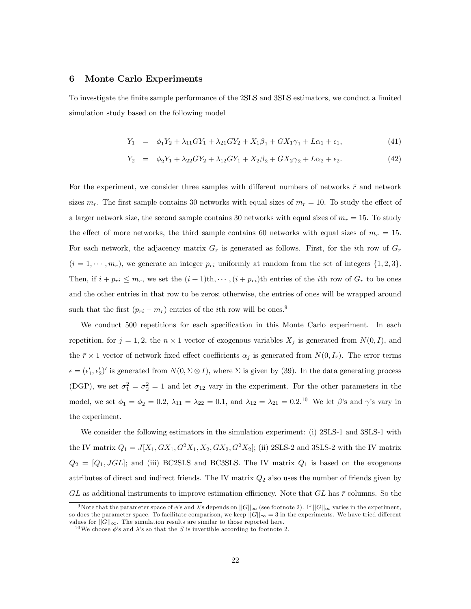### 6 Monte Carlo Experiments

To investigate the Önite sample performance of the 2SLS and 3SLS estimators, we conduct a limited simulation study based on the following model

$$
Y_1 = \phi_1 Y_2 + \lambda_{11} G Y_1 + \lambda_{21} G Y_2 + X_1 \beta_1 + G X_1 \gamma_1 + L \alpha_1 + \epsilon_1, \tag{41}
$$

$$
Y_2 = \phi_2 Y_1 + \lambda_{22} G Y_2 + \lambda_{12} G Y_1 + X_2 \beta_2 + G X_2 \gamma_2 + L \alpha_2 + \epsilon_2. \tag{42}
$$

For the experiment, we consider three samples with different numbers of networks  $\bar{r}$  and network sizes  $m_r$ . The first sample contains 30 networks with equal sizes of  $m_r = 10$ . To study the effect of a larger network size, the second sample contains 30 networks with equal sizes of  $m_r = 15$ . To study the effect of more networks, the third sample contains 60 networks with equal sizes of  $m_r = 15$ . For each network, the adjacency matrix  $G_r$  is generated as follows. First, for the *i*th row of  $G_r$  $(i = 1, \dots, m_r)$ , we generate an integer  $p_{ri}$  uniformly at random from the set of integers  $\{1, 2, 3\}$ . Then, if  $i + p_{ri} \leq m_r$ , we set the  $(i + 1)$ th, $\cdots$ ,  $(i + p_{ri})$ th entries of the *i*th row of  $G_r$  to be ones and the other entries in that row to be zeros; otherwise, the entries of ones will be wrapped around such that the first  $(p_{ri} - m_r)$  entries of the *i*th row will be ones.<sup>9</sup>

We conduct 500 repetitions for each specification in this Monte Carlo experiment. In each repetition, for  $j = 1, 2$ , the  $n \times 1$  vector of exogenous variables  $X_j$  is generated from  $N(0, I)$ , and the  $\bar{r} \times 1$  vector of network fixed effect coefficients  $\alpha_j$  is generated from  $N(0, I_{\bar{r}})$ . The error terms  $\epsilon = (\epsilon'_1, \epsilon'_2)'$  is generated from  $N(0, \Sigma \otimes I)$ , where  $\Sigma$  is given by (39). In the data generating process (DGP), we set  $\sigma_1^2 = \sigma_2^2 = 1$  and let  $\sigma_{12}$  vary in the experiment. For the other parameters in the model, we set  $\phi_1 = \phi_2 = 0.2$ ,  $\lambda_{11} = \lambda_{22} = 0.1$ , and  $\lambda_{12} = \lambda_{21} = 0.2$ .<sup>10</sup> We let  $\beta$ 's and  $\gamma$ 's vary in the experiment.

We consider the following estimators in the simulation experiment: (i) 2SLS-1 and 3SLS-1 with the IV matrix  $Q_1 = J[X_1, GX_1, G^2X_1, X_2, GX_2, G^2X_2]$ ; (ii) 2SLS-2 and 3SLS-2 with the IV matrix  $Q_2 = [Q_1, JGL]$ ; and (iii) BC2SLS and BC3SLS. The IV matrix  $Q_1$  is based on the exogenous attributes of direct and indirect friends. The IV matrix  $Q_2$  also uses the number of friends given by GL as additional instruments to improve estimation efficiency. Note that GL has  $\bar{r}$  columns. So the

<sup>&</sup>lt;sup>9</sup>Note that the parameter space of  $\phi$ 's and  $\lambda$ 's depends on  $||G||_{\infty}$  (see footnote 2). If  $||G||_{\infty}$  varies in the experiment, so does the parameter space. To facilitate comparison, we keep  $||G||_{\infty} = 3$  in the experiments. We have tried different values for  $||G||_{\infty}$ . The simulation results are similar to those reported here.

<sup>&</sup>lt;sup>10</sup>We choose  $\phi$ 's and  $\lambda$ 's so that the S is invertible according to footnote 2.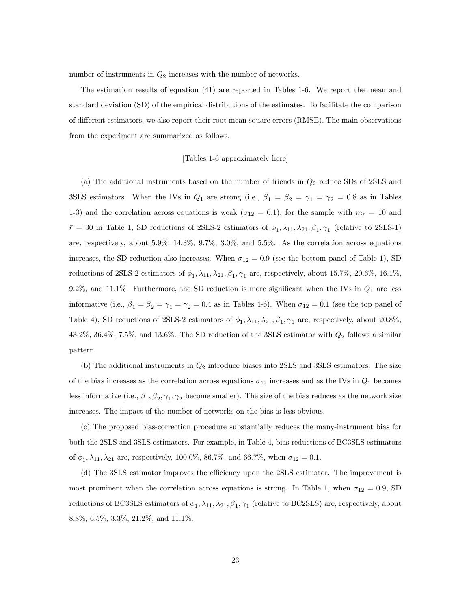number of instruments in  $Q_2$  increases with the number of networks.

The estimation results of equation (41) are reported in Tables 1-6. We report the mean and standard deviation (SD) of the empirical distributions of the estimates. To facilitate the comparison of different estimators, we also report their root mean square errors (RMSE). The main observations from the experiment are summarized as follows.

### [Tables 1-6 approximately here]

(a) The additional instruments based on the number of friends in  $Q_2$  reduce SDs of 2SLS and 3SLS estimators. When the IVs in  $Q_1$  are strong (i.e.,  $\beta_1 = \beta_2 = \gamma_1 = \gamma_2 = 0.8$  as in Tables 1-3) and the correlation across equations is weak ( $\sigma_{12} = 0.1$ ), for the sample with  $m_r = 10$  and  $\bar{r} = 30$  in Table 1, SD reductions of 2SLS-2 estimators of  $\phi_1, \lambda_{11}, \lambda_{21}, \beta_1, \gamma_1$  (relative to 2SLS-1) are, respectively, about 5.9%, 14.3%, 9.7%, 3.0%, and 5.5%. As the correlation across equations increases, the SD reduction also increases. When  $\sigma_{12} = 0.9$  (see the bottom panel of Table 1), SD reductions of 2SLS-2 estimators of  $\phi_1, \lambda_{11}, \lambda_{21}, \beta_1, \gamma_1$  are, respectively, about 15.7%, 20.6%, 16.1%, 9.2%, and 11.1%. Furthermore, the SD reduction is more significant when the IVs in  $Q_1$  are less informative (i.e.,  $\beta_1 = \beta_2 = \gamma_1 = \gamma_2 = 0.4$  as in Tables 4-6). When  $\sigma_{12} = 0.1$  (see the top panel of Table 4), SD reductions of 2SLS-2 estimators of  $\phi_1, \lambda_{11}, \lambda_{21}, \beta_1, \gamma_1$  are, respectively, about 20.8%, 43.2%, 36.4%, 7.5%, and 13.6%. The SD reduction of the 3SLS estimator with  $Q_2$  follows a similar pattern.

(b) The additional instruments in  $Q_2$  introduce biases into 2SLS and 3SLS estimators. The size of the bias increases as the correlation across equations  $\sigma_{12}$  increases and as the IVs in  $Q_1$  becomes less informative (i.e.,  $\beta_1, \beta_2, \gamma_1, \gamma_2$  become smaller). The size of the bias reduces as the network size increases. The impact of the number of networks on the bias is less obvious.

(c) The proposed bias-correction procedure substantially reduces the many-instrument bias for both the 2SLS and 3SLS estimators. For example, in Table 4, bias reductions of BC3SLS estimators of  $\phi_1, \lambda_{11}, \lambda_{21}$  are, respectively, 100.0%, 86.7%, and 66.7%, when  $\sigma_{12} = 0.1$ .

(d) The 3SLS estimator improves the efficiency upon the 2SLS estimator. The improvement is most prominent when the correlation across equations is strong. In Table 1, when  $\sigma_{12} = 0.9$ , SD reductions of BC3SLS estimators of  $\phi_1, \lambda_{11}, \lambda_{21}, \beta_1, \gamma_1$  (relative to BC2SLS) are, respectively, about 8.8%, 6.5%, 3.3%, 21.2%, and 11.1%.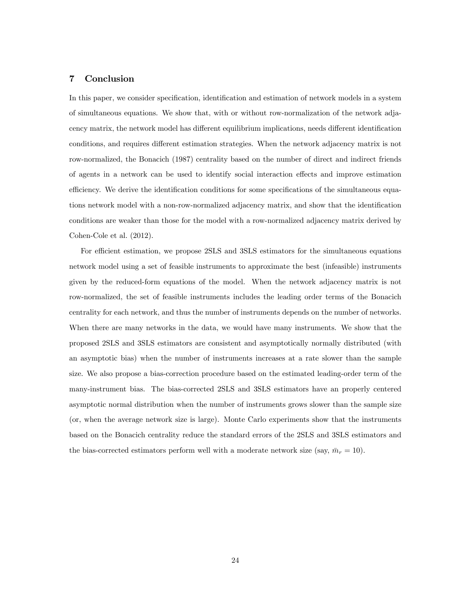### 7 Conclusion

In this paper, we consider specification, identification and estimation of network models in a system of simultaneous equations. We show that, with or without row-normalization of the network adjacency matrix, the network model has different equilibrium implications, needs different identification conditions, and requires different estimation strategies. When the network adjacency matrix is not row-normalized, the Bonacich (1987) centrality based on the number of direct and indirect friends of agents in a network can be used to identify social interaction effects and improve estimation efficiency. We derive the identification conditions for some specifications of the simultaneous equations network model with a non-row-normalized adjacency matrix, and show that the identification conditions are weaker than those for the model with a row-normalized adjacency matrix derived by Cohen-Cole et al. (2012).

For efficient estimation, we propose 2SLS and 3SLS estimators for the simultaneous equations network model using a set of feasible instruments to approximate the best (infeasible) instruments given by the reduced-form equations of the model. When the network adjacency matrix is not row-normalized, the set of feasible instruments includes the leading order terms of the Bonacich centrality for each network, and thus the number of instruments depends on the number of networks. When there are many networks in the data, we would have many instruments. We show that the proposed 2SLS and 3SLS estimators are consistent and asymptotically normally distributed (with an asymptotic bias) when the number of instruments increases at a rate slower than the sample size. We also propose a bias-correction procedure based on the estimated leading-order term of the many-instrument bias. The bias-corrected 2SLS and 3SLS estimators have an properly centered asymptotic normal distribution when the number of instruments grows slower than the sample size (or, when the average network size is large). Monte Carlo experiments show that the instruments based on the Bonacich centrality reduce the standard errors of the 2SLS and 3SLS estimators and the bias-corrected estimators perform well with a moderate network size (say,  $\bar{m}_r = 10$ ).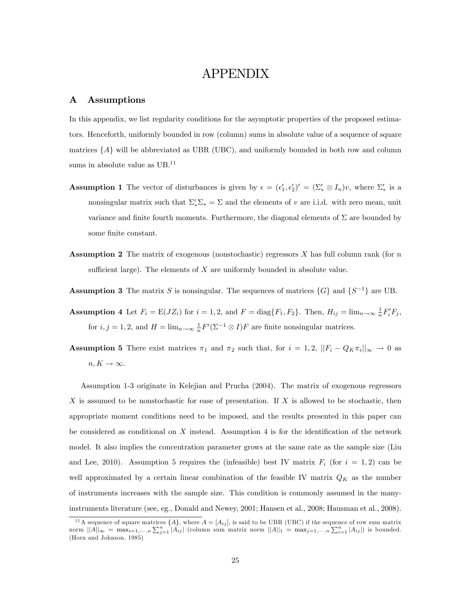### APPENDIX

### A Assumptions

In this appendix, we list regularity conditions for the asymptotic properties of the proposed estimators. Henceforth, uniformly bounded in row (column) sums in absolute value of a sequence of square matrices  $\{A\}$  will be abbreviated as UBR (UBC), and uniformly bounded in both row and column sums in absolute value as UB.<sup>11</sup>

- **Assumption 1** The vector of disturbances is given by  $\epsilon = (\epsilon'_1, \epsilon'_2)' = (\Sigma'_* \otimes I_n)v$ , where  $\Sigma'_*$  is a nonsingular matrix such that  $\Sigma_*' \Sigma_* = \Sigma$  and the elements of v are i.i.d. with zero mean, unit variance and finite fourth moments. Furthermore, the diagonal elements of  $\Sigma$  are bounded by some finite constant.
- **Assumption 2** The matrix of exogenous (nonstochastic) regressors  $X$  has full column rank (for  $n$ sufficient large). The elements of  $X$  are uniformly bounded in absolute value.
- **Assumption 3** The matrix S is nonsingular. The sequences of matrices  $\{G\}$  and  $\{S^{-1}\}$  are UB.
- **Assumption 4** Let  $F_i = E(JZ_i)$  for  $i = 1, 2$ , and  $F = \text{diag}\{F_1, F_2\}$ . Then,  $H_{ij} = \lim_{n \to \infty} \frac{1}{n} F_i' F_j$ , for  $i, j = 1, 2$ , and  $H = \lim_{n \to \infty} \frac{1}{n} F'(\Sigma^{-1} \otimes I) F$  are finite nonsingular matrices.
- **Assumption 5** There exist matrices  $\pi_1$  and  $\pi_2$  such that, for  $i = 1, 2, ||F_i Q_K \pi_i||_{\infty} \to 0$  as  $n, K \rightarrow \infty.$

Assumption 1-3 originate in Kelejian and Prucha (2004). The matrix of exogenous regressors X is assumed to be nonstochastic for ease of presentation. If X is allowed to be stochastic, then appropriate moment conditions need to be imposed, and the results presented in this paper can be considered as conditional on  $X$  instead. Assumption 4 is for the identification of the network model. It also implies the concentration parameter grows at the same rate as the sample size (Liu and Lee, 2010). Assumption 5 requires the (infeasible) best IV matrix  $F_i$  (for  $i = 1, 2$ ) can be well approximated by a certain linear combination of the feasible IV matrix  $Q_K$  as the number of instruments increases with the sample size. This condition is commonly assumed in the manyinstruments literature (see, eg., Donald and Newey, 2001; Hansen et al., 2008; Hausman et al., 2008).

<sup>&</sup>lt;sup>11</sup>A sequence of square matrices  $\{A\}$ , where  $A = [A_{ij}]$ , is said to be UBR (UBC) if the sequence of row sum matrix norm  $||A||_{\infty} = \max_{i=1,\dots,n} \sum_{j=1}^{n} |A_{ij}|$  (column sum matrix norm  $||A||_1 = \max_{j=1,\dots,n} \sum_{i=1}^{n} |A_{ij}|$ ) is bounded. (Horn and Johnson, 1985)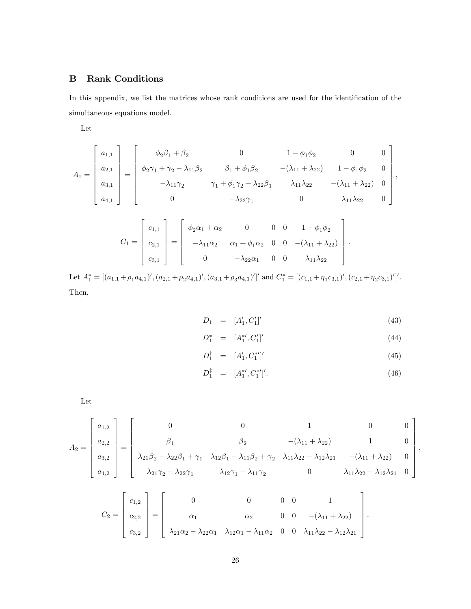### B Rank Conditions

In this appendix, we list the matrices whose rank conditions are used for the identification of the simultaneous equations model.

Let

$$
A_1 = \begin{bmatrix} a_{1,1} \\ a_{2,1} \\ a_{3,1} \\ a_{4,1} \end{bmatrix} = \begin{bmatrix} \phi_2 \beta_1 + \beta_2 & 0 & 1 - \phi_1 \phi_2 & 0 & 0 \\ \phi_2 \gamma_1 + \gamma_2 - \lambda_{11} \beta_2 & \beta_1 + \phi_1 \beta_2 & -(\lambda_{11} + \lambda_{22}) & 1 - \phi_1 \phi_2 & 0 \\ -\lambda_{11} \gamma_2 & \gamma_1 + \phi_1 \gamma_2 - \lambda_{22} \beta_1 & \lambda_{11} \lambda_{22} & -(\lambda_{11} + \lambda_{22}) & 0 \\ 0 & -\lambda_{22} \gamma_1 & 0 & \lambda_{11} \lambda_{22} & 0 \end{bmatrix},
$$

$$
C_1 = \begin{bmatrix} c_{1,1} \\ c_{2,1} \\ c_{3,1} \end{bmatrix} = \begin{bmatrix} \phi_2 \alpha_1 + \alpha_2 & 0 & 0 & 0 & 1 - \phi_1 \phi_2 \\ -\lambda_{11} \alpha_2 & \alpha_1 + \phi_1 \alpha_2 & 0 & 0 & -(\lambda_{11} + \lambda_{22}) \\ 0 & -\lambda_{22} \alpha_1 & 0 & 0 & \lambda_{11} \lambda_{22} \end{bmatrix}.
$$

Let  $A_1^* = [(a_{1,1} + \rho_1 a_{4,1})', (a_{2,1} + \rho_2 a_{4,1})', (a_{3,1} + \rho_3 a_{4,1})']'$  and  $C_1^* = [(c_{1,1} + \eta_1 c_{3,1})', (c_{2,1} + \eta_2 c_{3,1})']'.$ Then,

$$
D_1 = [A'_1, C'_1]'
$$
\n(43)

$$
D_1^* = [A_1^{*'}, C_1']'
$$
\n(44)

$$
D_1^{\dagger} = [A'_1, C_1^{*'}]'
$$
\n(45)

$$
D_1^{\ddagger} = [A_1^{*}, C_1^{*}]'.
$$
\n(46)

Let

$$
A_2 = \begin{bmatrix} a_{1,2} \\ a_{2,2} \\ a_{3,2} \\ a_{4,2} \end{bmatrix} = \begin{bmatrix} 0 & 0 & 1 & 0 & 0 \\ \beta_1 & \beta_2 & -(\lambda_{11} + \lambda_{22}) & 1 & 0 \\ \lambda_{21}\beta_2 - \lambda_{22}\beta_1 + \gamma_1 & \lambda_{12}\beta_1 - \lambda_{11}\beta_2 + \gamma_2 & \lambda_{11}\lambda_{22} - \lambda_{12}\lambda_{21} & -(\lambda_{11} + \lambda_{22}) & 0 \\ \lambda_{21}\gamma_2 - \lambda_{22}\gamma_1 & \lambda_{12}\gamma_1 - \lambda_{11}\gamma_2 & 0 & \lambda_{11}\lambda_{22} - \lambda_{12}\lambda_{21} & 0 \end{bmatrix},
$$

$$
C_2 = \begin{bmatrix} c_{1,2} \\ c_{2,2} \\ c_{3,2} \end{bmatrix} = \begin{bmatrix} 0 & 0 & 0 & 1 \\ \alpha_1 & \alpha_2 & 0 & 0 & -(\lambda_{11} + \lambda_{22}) \\ \lambda_{21}\alpha_2 - \lambda_{22}\alpha_1 & \lambda_{12}\alpha_1 - \lambda_{11}\alpha_2 & 0 & 0 & \lambda_{11}\lambda_{22} - \lambda_{12}\lambda_{21} \end{bmatrix}.
$$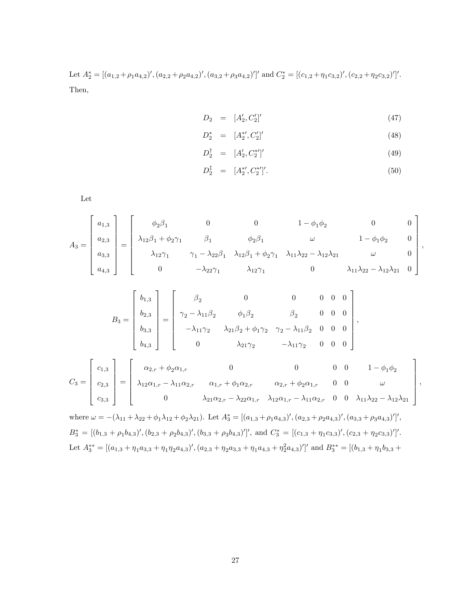Let  $A_2^* = [(a_{1,2} + \rho_1 a_{4,2})', (a_{2,2} + \rho_2 a_{4,2})', (a_{3,2} + \rho_3 a_{4,2})']'$  and  $C_2^* = [(c_{1,2} + \eta_1 c_{3,2})', (c_{2,2} + \eta_2 c_{3,2})']'.$ Then,

$$
D_2 = [A'_2, C'_2]'
$$
\n(47)

$$
D_2^* = [A_2^{*'}, C_2']'
$$
\n(48)

$$
D_2^{\dagger} = [A'_2, C_2^{*'}]'
$$
\n(49)

$$
D_2^{\ddagger} = [A_2^{*}, C_2^{*}]'.
$$
\n(50)

Let

$$
A_3 = \begin{bmatrix} a_{1,3} \\ a_{2,3} \\ a_{3,3} \\ a_{4,3} \end{bmatrix} = \begin{bmatrix} \phi_2 \beta_1 & 0 & 0 & 1 - \phi_1 \phi_2 & 0 & 0 \\ \lambda_{12} \beta_1 + \phi_2 \gamma_1 & \beta_1 & \phi_2 \beta_1 & \omega & 1 - \phi_1 \phi_2 & 0 \\ \lambda_{12} \gamma_1 & \gamma_1 - \lambda_{22} \beta_1 & \lambda_{12} \beta_1 + \phi_2 \gamma_1 & \lambda_{11} \lambda_{22} - \lambda_{12} \lambda_{21} & \omega & 0 \\ 0 & -\lambda_{22} \gamma_1 & \lambda_{12} \gamma_1 & 0 & \lambda_{11} \lambda_{22} - \lambda_{12} \lambda_{21} & 0 \end{bmatrix},
$$

$$
B_3 = \begin{bmatrix} b_{1,3} \\ b_{2,3} \\ b_{3,3} \\ b_{4,3} \end{bmatrix} = \begin{bmatrix} \beta_2 & 0 & 0 & 0 & 0 & 0 \\ \gamma_2 - \lambda_{11} \beta_2 & \phi_1 \beta_2 & \beta_2 & 0 & 0 & 0 \\ -\lambda_{11} \gamma_2 & \lambda_{21} \beta_2 + \phi_1 \gamma_2 & \gamma_2 - \lambda_{11} \beta_2 & 0 & 0 & 0 \\ 0 & \lambda_{21} \gamma_2 & -\lambda_{11} \gamma_2 & 0 & 0 & 0 \end{bmatrix},
$$

$$
C_3 = \begin{bmatrix} c_{1,3} \\ c_{2,3} \\ c_{3,3} \end{bmatrix} = \begin{bmatrix} \alpha_{2,r} + \phi_2 \alpha_{1,r} & 0 & 0 & 0 & 1 - \phi_1 \phi_2 \\ \lambda_{12} \alpha_{1,r} - \lambda_{11} \alpha_{2,r} & \alpha_{1,r} + \phi_1 \alpha_{2,r} & \alpha_{2,r} + \phi_2 \alpha_{1,r} & 0 & 0 & \omega \\ 0 & \lambda_{21} \alpha_{2,r} - \lambda_{22} \alpha_{1,r} & \lambda_{12} \alpha_{1,r} - \lambda_{11} \alpha_{2,r} & 0 & 0 & \lambda_{11} \lambda_{22} - \lambda_{12} \lambda_{21} \end{bmatrix},
$$

where  $\omega = -(\lambda_{11} + \lambda_{22} + \phi_1\lambda_{12} + \phi_2\lambda_{21})$ . Let  $A_3^* = [(a_{1,3} + \rho_1a_{4,3})', (a_{2,3} + \rho_2a_{4,3})', (a_{3,3} + \rho_3a_{4,3})']',$  $B_3^* = \frac{[(b_{1,3} + \rho_1 b_{4,3})', (b_{2,3} + \rho_2 b_{4,3})', (b_{3,3} + \rho_3 b_{4,3})']', \text{ and } C_3^* = \frac{[(c_{1,3} + \eta_1 c_{3,3})', (c_{2,3} + \eta_2 c_{3,3})']'.}{[(c_{1,3} + \eta_1 c_{3,3})', (c_{2,3} + \eta_2 c_{3,3})']'.}$ Let  $A_3^{**} = [(a_{1,3} + \eta_1 a_{3,3} + \eta_1 \eta_2 a_{4,3})', (a_{2,3} + \eta_2 a_{3,3} + \eta_1 a_{4,3} + \eta_2^2 a_{4,3})']'$  and  $B_3^{**} = [(b_{1,3} + \eta_1 b_{3,3} + \eta_2 b_{4,3} + \eta_3 b_{4,3} + \eta_3 b_{4,3} + \eta_4 b_{5,3} + \eta_5 b_{6,3} + \eta_6 b_{7,3} + \eta_7 b_{8,3} + \eta_7 b_{8,3} + \eta_8 b_{8,3}$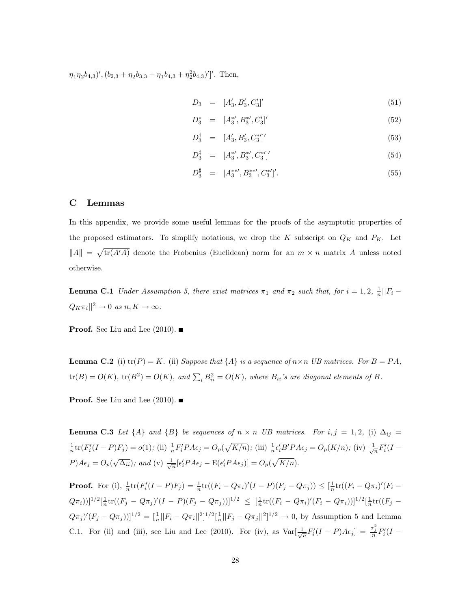$\eta_1 \eta_2 b_{4,3}$ ',  $(b_{2,3} + \eta_2 b_{3,3} + \eta_1 b_{4,3} + \eta_2^2 b_{4,3})'$ ''. Then,

$$
D_3 = [A'_3, B'_3, C'_3]'
$$
\n
$$
(51)
$$

$$
D_3^* = [A_3^{*'}, B_3^{*'}, C_3']'
$$
\n(52)

$$
D_3^{\dagger} = [A'_3, B'_3, C_3^{*'}]'
$$
\n(53)

$$
D_3^{\ddagger} = [A_3^{*\prime}, B_3^{*\prime}, C_3^{*\prime}]'
$$
\n(54)

$$
D_3^{\sharp} = [A_3^{**\prime}, B_3^{**\prime}, C_3^{*\prime}]'. \tag{55}
$$

### C Lemmas

In this appendix, we provide some useful lemmas for the proofs of the asymptotic properties of the proposed estimators. To simplify notations, we drop the K subscript on  $Q_K$  and  $P_K$ . Let  $||A|| = \sqrt{\text{tr}(A'A)}$  denote the Frobenius (Euclidean) norm for an  $m \times n$  matrix A unless noted otherwise.

**Lemma C.1** Under Assumption 5, there exist matrices  $\pi_1$  and  $\pi_2$  such that, for  $i = 1, 2, \frac{1}{n} || F_i Q_K \pi_i ||^2 \to 0 \text{ as } n, K \to \infty.$ 

**Proof.** See Liu and Lee  $(2010)$ .

**Lemma C.2** (i)  $tr(P) = K$ . (ii) Suppose that  $\{A\}$  is a sequence of  $n \times n$  UB matrices. For  $B = PA$ ,  $\text{tr}(B) = O(K)$ ,  $\text{tr}(B^2) = O(K)$ , and  $\sum_i B_{ii}^2 = O(K)$ , where  $B_{ii}$ 's are diagonal elements of B.

**Proof.** See Liu and Lee  $(2010)$ .

**Lemma C.3** Let  $\{A\}$  and  $\{B\}$  be sequences of  $n \times n$  UB matrices. For  $i, j = 1, 2$ , (i)  $\Delta_{ij} =$  $\frac{1}{n}$ tr( $F'_{i}(I-P)F_{j}$ ) = o(1); (ii)  $\frac{1}{n}F'_{i}PA\epsilon_{j} = O_{p}(\sqrt{K/n})$ ; (iii)  $\frac{1}{n}\epsilon'_{i}B'PA\epsilon_{j} = O_{p}(K/n)$ ; (iv)  $\frac{1}{\sqrt{n}}F'_{i}(I-P)F_{j}$  $P)A\epsilon_j = O_p(\sqrt{\Delta_{ii}});$  and (v)  $\frac{1}{\sqrt{n}}[\epsilon_i'PA\epsilon_j - \mathcal{E}(\epsilon_i'PA\epsilon_j)] = O_p(\sqrt{K/n}).$ 

**Proof.** For (i),  $\frac{1}{n} \text{tr}(F_i'(I - P)F_j) = \frac{1}{n} \text{tr}((F_i - Q\pi_i)'(I - P)(F_j - Q\pi_j)) \leq [\frac{1}{n} \text{tr}((F_i - Q\pi_i)'(F_i - Q\pi_j)]$  $(Q\pi_i))$ ]<sup>1/2</sup>[ $\frac{1}{n}$ tr( $(F_j - Q\pi_j)'(I - P)(F_j - Q\pi_j))$ ]<sup>1/2</sup>  $\leq$  [ $\frac{1}{n}$ tr( $(F_i - Q\pi_i)'(F_i - Q\pi_i)$ )]<sup>1/2</sup>[ $\frac{1}{n}$ tr( $(F_j - Q\pi_j)'(I - P)(F_j - Q\pi_j)$ ]]<sup>1/2</sup>[  $(Q\pi_j)'(F_j - Q\pi_j))]^{1/2} = \frac{1}{n}||F_i - Q\pi_i||^2]^{1/2}[\frac{1}{n}||F_j - Q\pi_j||^2]^{1/2} \to 0$ , by Assumption 5 and Lemma C.1. For (ii) and (iii), see Liu and Lee (2010). For (iv), as  $Var[\frac{1}{\sqrt{n}}F'_i(I-P)A\epsilon_j] = \frac{\sigma_j^2}{n}F'_i(I-P)$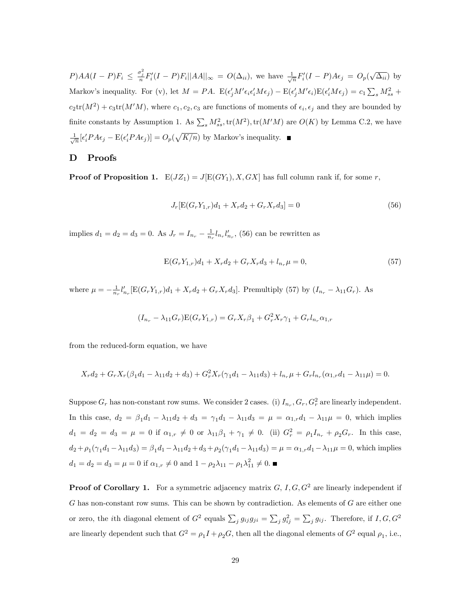$P)AA(I-P)F_i \leq \frac{\sigma_j^2}{n}F'_i(I-P)F_i||AA||_{\infty} = O(\Delta_{ii}),$  we have  $\frac{1}{\sqrt{n}}F'_i(I-P)A\epsilon_j = O_p(\sqrt{\Delta_{ii}})$  by Markov's inequality. For (v), let  $M = PA$ .  $E(\epsilon'_j M' \epsilon_i \epsilon'_i M \epsilon_j) - E(\epsilon'_j M' \epsilon_i) E(\epsilon'_i M \epsilon_j) = c_1 \sum_s M_{ss}^2 +$  $c_2\text{tr}(M^2) + c_3\text{tr}(M'M)$ , where  $c_1, c_2, c_3$  are functions of moments of  $\epsilon_i, \epsilon_j$  and they are bounded by finite constants by Assumption 1. As  $\sum_s M_{ss}^2$ ,  $\text{tr}(M^2)$ ,  $\text{tr}(M'M)$  are  $O(K)$  by Lemma C.2, we have  $\frac{1}{\sqrt{n}}[\epsilon'_i P A \epsilon_j - \mathcal{E}(\epsilon'_i P A \epsilon_j)] = O_p(\sqrt{K/n})$  by Markov's inequality.

### D Proofs

**Proof of Proposition 1.**  $E(JZ_1) = J[E(GY_1), X, GX]$  has full column rank if, for some r,

$$
J_r[\mathcal{E}(G_r Y_{1,r})d_1 + X_r d_2 + G_r X_r d_3] = 0
$$
\n(56)

implies  $d_1 = d_2 = d_3 = 0$ . As  $J_r = I_{n_r} - \frac{1}{n_r} l_{n_r} l'_{n_r}$ , (56) can be rewritten as

$$
E(G_r Y_{1,r})d_1 + X_r d_2 + G_r X_r d_3 + l_{n_r} \mu = 0,
$$
\n(57)

where  $\mu = -\frac{1}{n_r} l'_{n_r} [E(G_r Y_{1,r})d_1 + X_r d_2 + G_r X_r d_3]$ . Premultiply (57) by  $(I_{n_r} - \lambda_{11} G_r)$ . As

$$
(I_{n_r} - \lambda_{11} G_r) \mathbf{E}(G_r Y_{1,r}) = G_r X_r \beta_1 + G_r^2 X_r \gamma_1 + G_r I_{n_r} \alpha_{1,r}
$$

from the reduced-form equation, we have

$$
X_r d_2 + G_r X_r (\beta_1 d_1 - \lambda_{11} d_2 + d_3) + G_r^2 X_r (\gamma_1 d_1 - \lambda_{11} d_3) + l_{n_r} \mu + G_r l_{n_r} (\alpha_{1,r} d_1 - \lambda_{11} \mu) = 0.
$$

Suppose  $G_r$  has non-constant row sums. We consider 2 cases. (i)  $I_{n_r}, G_r, G_r^2$  are linearly independent. In this case,  $d_2 = \beta_1 d_1 - \lambda_{11} d_2 + d_3 = \gamma_1 d_1 - \lambda_{11} d_3 = \mu = \alpha_{1,r} d_1 - \lambda_{11} \mu = 0$ , which implies  $d_1 = d_2 = d_3 = \mu = 0$  if  $\alpha_{1,r} \neq 0$  or  $\lambda_{11}\beta_1 + \gamma_1 \neq 0$ . (ii)  $G_r^2 = \rho_1 I_{n_r} + \rho_2 G_r$ . In this case,  $d_2 + \rho_1(\gamma_1 d_1 - \lambda_{11} d_3) = \beta_1 d_1 - \lambda_{11} d_2 + d_3 + \rho_2(\gamma_1 d_1 - \lambda_{11} d_3) = \mu = \alpha_{1,r} d_1 - \lambda_{11} \mu = 0$ , which implies  $d_1 = d_2 = d_3 = \mu = 0$  if  $\alpha_{1,r} \neq 0$  and  $1 - \rho_2 \lambda_{11} - \rho_1 \lambda_{11}^2 \neq 0$ .

**Proof of Corollary 1.** For a symmetric adjacency matrix  $G, I, G, G^2$  are linearly independent if  $G$  has non-constant row sums. This can be shown by contradiction. As elements of  $G$  are either one or zero, the *i*th diagonal element of  $G^2$  equals  $\sum_j g_{ij}g_{ji} = \sum_j g_{ij}^2 = \sum_j g_{ij}$ . Therefore, if  $I, G, G^2$ are linearly dependent such that  $G^2 = \rho_1 I + \rho_2 G$ , then all the diagonal elements of  $G^2$  equal  $\rho_1$ , i.e.,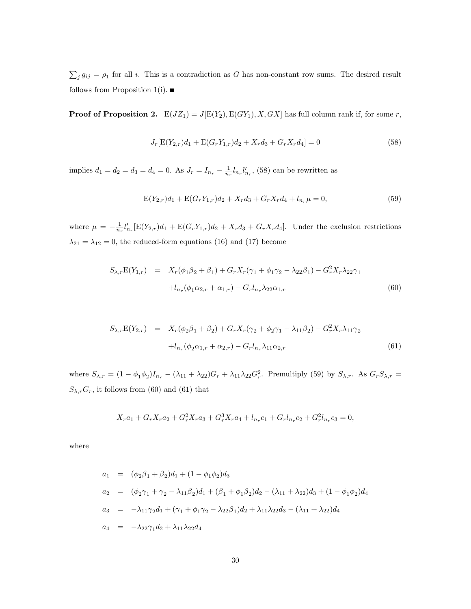$\sum_{j} g_{ij} = \rho_1$  for all i. This is a contradiction as G has non-constant row sums. The desired result follows from Proposition 1(i).  $\blacksquare$ 

**Proof of Proposition 2.**  $E(JZ_1) = J[E(Y_2), E(GY_1), X, GX]$  has full column rank if, for some r,

$$
J_r[\mathcal{E}(Y_{2,r})d_1 + \mathcal{E}(G_r Y_{1,r})d_2 + X_r d_3 + G_r X_r d_4] = 0
$$
\n(58)

implies  $d_1 = d_2 = d_3 = d_4 = 0$ . As  $J_r = I_{n_r} - \frac{1}{n_r} l_{n_r} l'_{n_r}$ , (58) can be rewritten as

$$
E(Y_{2,r})d_1 + E(G_rY_{1,r})d_2 + X_r d_3 + G_rX_r d_4 + l_{n_r}\mu = 0,
$$
\n(59)

where  $\mu = -\frac{1}{n_r} l'_{n_r} [E(Y_{2,r})d_1 + E(G_r Y_{1,r})d_2 + X_r d_3 + G_r X_r d_4].$  Under the exclusion restrictions  $\lambda_{21} = \lambda_{12} = 0$ , the reduced-form equations (16) and (17) become

$$
S_{\lambda,r}E(Y_{1,r}) = X_r(\phi_1\beta_2 + \beta_1) + G_rX_r(\gamma_1 + \phi_1\gamma_2 - \lambda_{22}\beta_1) - G_r^2X_r\lambda_{22}\gamma_1
$$
  

$$
+l_{n_r}(\phi_1\alpha_{2,r} + \alpha_{1,r}) - G_rl_{n_r}\lambda_{22}\alpha_{1,r}
$$
(60)

$$
S_{\lambda,r}E(Y_{2,r}) = X_r(\phi_2\beta_1 + \beta_2) + G_r X_r(\gamma_2 + \phi_2\gamma_1 - \lambda_{11}\beta_2) - G_r^2 X_r \lambda_{11}\gamma_2
$$
  
+
$$
l_{n_r}(\phi_2\alpha_{1,r} + \alpha_{2,r}) - G_r l_{n_r} \lambda_{11}\alpha_{2,r}
$$
(61)

where  $S_{\lambda,r} = (1 - \phi_1 \phi_2) I_{n_r} - (\lambda_{11} + \lambda_{22}) G_r + \lambda_{11} \lambda_{22} G_r^2$ . Premultiply (59) by  $S_{\lambda,r}$ . As  $G_r S_{\lambda,r} =$  $S_{\lambda,r}G_r$ , it follows from (60) and (61) that

$$
X_r a_1 + G_r X_r a_2 + G_r^2 X_r a_3 + G_r^3 X_r a_4 + l_{n_r} c_1 + G_r l_{n_r} c_2 + G_r^2 l_{n_r} c_3 = 0,
$$

where

$$
a_1 = (\phi_2 \beta_1 + \beta_2) d_1 + (1 - \phi_1 \phi_2) d_3
$$
  
\n
$$
a_2 = (\phi_2 \gamma_1 + \gamma_2 - \lambda_{11} \beta_2) d_1 + (\beta_1 + \phi_1 \beta_2) d_2 - (\lambda_{11} + \lambda_{22}) d_3 + (1 - \phi_1 \phi_2) d_4
$$
  
\n
$$
a_3 = -\lambda_{11} \gamma_2 d_1 + (\gamma_1 + \phi_1 \gamma_2 - \lambda_{22} \beta_1) d_2 + \lambda_{11} \lambda_{22} d_3 - (\lambda_{11} + \lambda_{22}) d_4
$$
  
\n
$$
a_4 = -\lambda_{22} \gamma_1 d_2 + \lambda_{11} \lambda_{22} d_4
$$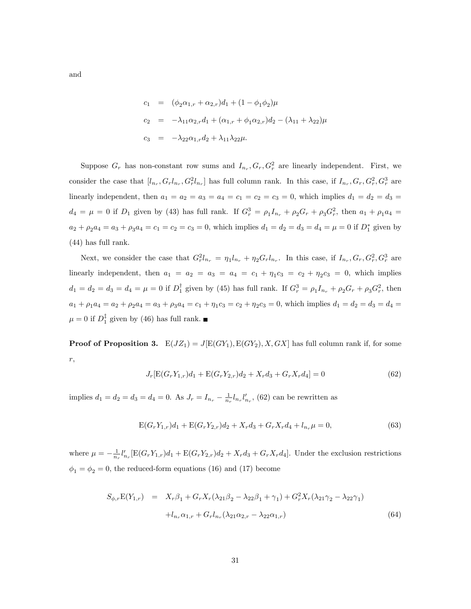$$
c_1 = (\phi_2 \alpha_{1,r} + \alpha_{2,r})d_1 + (1 - \phi_1 \phi_2)\mu
$$
  
\n
$$
c_2 = -\lambda_{11} \alpha_{2,r} d_1 + (\alpha_{1,r} + \phi_1 \alpha_{2,r})d_2 - (\lambda_{11} + \lambda_{22})\mu
$$
  
\n
$$
c_3 = -\lambda_{22} \alpha_{1,r} d_2 + \lambda_{11} \lambda_{22} \mu.
$$

Suppose  $G_r$  has non-constant row sums and  $I_{n_r}, G_r, G_r^2$  are linearly independent. First, we consider the case that  $[l_{n_r}, G_r l_{n_r}, G_r^2 l_{n_r}]$  has full column rank. In this case, if  $I_{n_r}, G_r, G_r^2, G_r^3$  are linearly independent, then  $a_1 = a_2 = a_3 = a_4 = c_1 = c_2 = c_3 = 0$ , which implies  $d_1 = d_2 = d_3 =$  $d_4 = \mu = 0$  if  $D_1$  given by (43) has full rank. If  $G_r^3 = \rho_1 I_{n_r} + \rho_2 G_r + \rho_3 G_r^2$ , then  $a_1 + \rho_1 a_4 =$  $a_2 + \rho_2 a_4 = a_3 + \rho_3 a_4 = c_1 = c_2 = c_3 = 0$ , which implies  $d_1 = d_2 = d_3 = d_4 = \mu = 0$  if  $D_1^*$  given by (44) has full rank.

Next, we consider the case that  $G_r^2 l_{n_r} = \eta_1 l_{n_r} + \eta_2 G_r l_{n_r}$ . In this case, if  $I_{n_r}, G_r, G_r^2, G_r^3$  are linearly independent, then  $a_1 = a_2 = a_3 = a_4 = c_1 + \eta_1 c_3 = c_2 + \eta_2 c_3 = 0$ , which implies  $d_1 = d_2 = d_3 = d_4 = \mu = 0$  if  $D_1^{\dagger}$  given by (45) has full rank. If  $G_r^3 = \rho_1 I_{n_r} + \rho_2 G_r + \rho_3 G_r^2$ , then  $a_1 + \rho_1 a_4 = a_2 + \rho_2 a_4 = a_3 + \rho_3 a_4 = c_1 + \eta_1 c_3 = c_2 + \eta_2 c_3 = 0$ , which implies  $d_1 = d_2 = d_3 = d_4 =$  $\mu = 0$  if  $D_1^*$  given by (46) has full rank.

**Proof of Proposition 3.**  $E(JZ_1) = J[E(GY_1), E(GY_2), X, GX]$  has full column rank if, for some r,

$$
J_r[\mathcal{E}(G_r Y_{1,r})d_1 + \mathcal{E}(G_r Y_{2,r})d_2 + X_r d_3 + G_r X_r d_4] = 0
$$
\n(62)

implies  $d_1 = d_2 = d_3 = d_4 = 0$ . As  $J_r = I_{n_r} - \frac{1}{n_r} l_{n_r} l'_{n_r}$ , (62) can be rewritten as

$$
E(G_r Y_{1,r})d_1 + E(G_r Y_{2,r})d_2 + X_r d_3 + G_r X_r d_4 + l_{n_r} \mu = 0,
$$
\n(63)

where  $\mu = -\frac{1}{n_r}l'_{n_r}[\text{E}(G_rY_{1,r})d_1 + \text{E}(G_rY_{2,r})d_2 + X_r d_3 + G_rX_r d_4]$ . Under the exclusion restrictions  $\phi_1 = \phi_2 = 0$ , the reduced-form equations (16) and (17) become

$$
S_{\phi,r}E(Y_{1,r}) = X_r \beta_1 + G_r X_r (\lambda_{21} \beta_2 - \lambda_{22} \beta_1 + \gamma_1) + G_r^2 X_r (\lambda_{21} \gamma_2 - \lambda_{22} \gamma_1)
$$
  
+ 
$$
l_{n_r} \alpha_{1,r} + G_r l_{n_r} (\lambda_{21} \alpha_{2,r} - \lambda_{22} \alpha_{1,r})
$$
(64)

and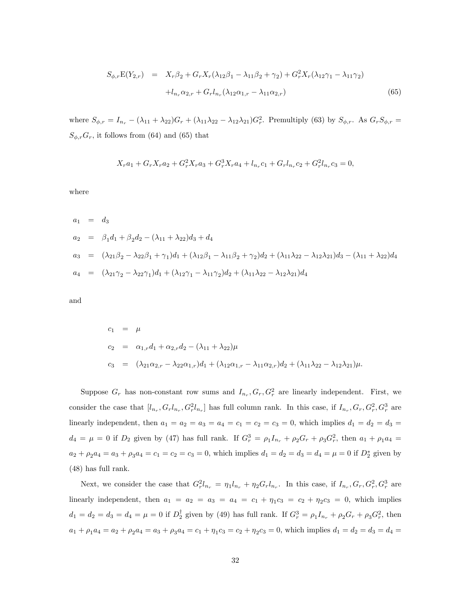$$
S_{\phi,r}E(Y_{2,r}) = X_r \beta_2 + G_r X_r (\lambda_{12}\beta_1 - \lambda_{11}\beta_2 + \gamma_2) + G_r^2 X_r (\lambda_{12}\gamma_1 - \lambda_{11}\gamma_2)
$$
  
+ 
$$
l_{n_r} \alpha_{2,r} + G_r l_{n_r} (\lambda_{12}\alpha_{1,r} - \lambda_{11}\alpha_{2,r})
$$
(65)

where  $S_{\phi,r} = I_{n_r} - (\lambda_{11} + \lambda_{22})G_r + (\lambda_{11}\lambda_{22} - \lambda_{12}\lambda_{21})G_r^2$ . Premultiply (63) by  $S_{\phi,r}$ . As  $G_rS_{\phi,r}$  =  $S_{\phi,r}G_r$ , it follows from (64) and (65) that

$$
X_r a_1 + G_r X_r a_2 + G_r^2 X_r a_3 + G_r^3 X_r a_4 + l_{n_r} c_1 + G_r l_{n_r} c_2 + G_r^2 l_{n_r} c_3 = 0,
$$

where

$$
a_1 = d_3
$$
  
\n
$$
a_2 = \beta_1 d_1 + \beta_2 d_2 - (\lambda_{11} + \lambda_{22}) d_3 + d_4
$$
  
\n
$$
a_3 = (\lambda_{21} \beta_2 - \lambda_{22} \beta_1 + \gamma_1) d_1 + (\lambda_{12} \beta_1 - \lambda_{11} \beta_2 + \gamma_2) d_2 + (\lambda_{11} \lambda_{22} - \lambda_{12} \lambda_{21}) d_3 - (\lambda_{11} + \lambda_{22}) d_4
$$
  
\n
$$
a_4 = (\lambda_{21} \gamma_2 - \lambda_{22} \gamma_1) d_1 + (\lambda_{12} \gamma_1 - \lambda_{11} \gamma_2) d_2 + (\lambda_{11} \lambda_{22} - \lambda_{12} \lambda_{21}) d_4
$$

and

$$
c_1 = \mu
$$
  
\n
$$
c_2 = \alpha_{1,r}d_1 + \alpha_{2,r}d_2 - (\lambda_{11} + \lambda_{22})\mu
$$
  
\n
$$
c_3 = (\lambda_{21}\alpha_{2,r} - \lambda_{22}\alpha_{1,r})d_1 + (\lambda_{12}\alpha_{1,r} - \lambda_{11}\alpha_{2,r})d_2 + (\lambda_{11}\lambda_{22} - \lambda_{12}\lambda_{21})\mu.
$$

Suppose  $G_r$  has non-constant row sums and  $I_{n_r}, G_r, G_r^2$  are linearly independent. First, we consider the case that  $[l_{n_r}, G_r l_{n_r}, G_r^2 l_{n_r}]$  has full column rank. In this case, if  $I_{n_r}, G_r, G_r^2, G_r^3$  are linearly independent, then  $a_1 = a_2 = a_3 = a_4 = c_1 = c_2 = c_3 = 0$ , which implies  $d_1 = d_2 = d_3 =$  $d_4 = \mu = 0$  if  $D_2$  given by (47) has full rank. If  $G_r^3 = \rho_1 I_{n_r} + \rho_2 G_r + \rho_3 G_r^2$ , then  $a_1 + \rho_1 a_4 =$  $a_2 + \rho_2 a_4 = a_3 + \rho_3 a_4 = c_1 = c_2 = c_3 = 0$ , which implies  $d_1 = d_2 = d_3 = d_4 = \mu = 0$  if  $D_2^*$  given by (48) has full rank.

Next, we consider the case that  $G_r^2 l_{n_r} = \eta_1 l_{n_r} + \eta_2 G_r l_{n_r}$ . In this case, if  $I_{n_r}, G_r, G_r^2, G_r^3$  are linearly independent, then  $a_1 = a_2 = a_3 = a_4 = c_1 + \eta_1 c_3 = c_2 + \eta_2 c_3 = 0$ , which implies  $d_1 = d_2 = d_3 = d_4 = \mu = 0$  if  $D_2^{\dagger}$  given by (49) has full rank. If  $G_r^3 = \rho_1 I_{n_r} + \rho_2 G_r + \rho_3 G_r^2$ , then  $a_1 + \rho_1 a_4 = a_2 + \rho_2 a_4 = a_3 + \rho_3 a_4 = c_1 + \eta_1 c_3 = c_2 + \eta_2 c_3 = 0$ , which implies  $d_1 = d_2 = d_3 = d_4 =$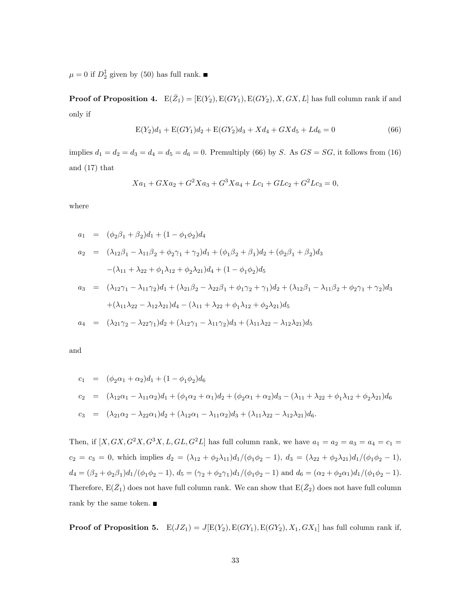$\mu = 0$  if  $D_2^{\ddagger}$  given by (50) has full rank.

**Proof of Proposition 4.**  $E(\bar{Z}_1) = [E(Y_2), E(GY_1), E(GY_2), X, GX, L]$  has full column rank if and only if

$$
E(Y_2)d_1 + E(GY_1)d_2 + E(GY_2)d_3 + Xd_4 + GXd_5 + Ld_6 = 0
$$
\n(66)

implies  $d_1 = d_2 = d_3 = d_4 = d_5 = d_6 = 0$ . Premultiply (66) by S. As  $GS = SG$ , it follows from (16) and (17) that

$$
Xa_1 + GXa_2 + G^2Xa_3 + G^3Xa_4 + Lc_1 + GLc_2 + G^2Lc_3 = 0,
$$

where

$$
a_1 = (\phi_2 \beta_1 + \beta_2) d_1 + (1 - \phi_1 \phi_2) d_4
$$
  
\n
$$
a_2 = (\lambda_{12} \beta_1 - \lambda_{11} \beta_2 + \phi_2 \gamma_1 + \gamma_2) d_1 + (\phi_1 \beta_2 + \beta_1) d_2 + (\phi_2 \beta_1 + \beta_2) d_3
$$
  
\n
$$
-(\lambda_{11} + \lambda_{22} + \phi_1 \lambda_{12} + \phi_2 \lambda_{21}) d_4 + (1 - \phi_1 \phi_2) d_5
$$
  
\n
$$
a_3 = (\lambda_{12} \gamma_1 - \lambda_{11} \gamma_2) d_1 + (\lambda_{21} \beta_2 - \lambda_{22} \beta_1 + \phi_1 \gamma_2 + \gamma_1) d_2 + (\lambda_{12} \beta_1 - \lambda_{11} \beta_2 + \phi_2 \gamma_1 + \gamma_2) d_3
$$
  
\n
$$
+(\lambda_{11} \lambda_{22} - \lambda_{12} \lambda_{21}) d_4 - (\lambda_{11} + \lambda_{22} + \phi_1 \lambda_{12} + \phi_2 \lambda_{21}) d_5
$$
  
\n
$$
a_4 = (\lambda_{21} \gamma_2 - \lambda_{22} \gamma_1) d_2 + (\lambda_{12} \gamma_1 - \lambda_{11} \gamma_2) d_3 + (\lambda_{11} \lambda_{22} - \lambda_{12} \lambda_{21}) d_5
$$

and

$$
c_1 = (\phi_2 \alpha_1 + \alpha_2) d_1 + (1 - \phi_1 \phi_2) d_6
$$
  
\n
$$
c_2 = (\lambda_{12} \alpha_1 - \lambda_{11} \alpha_2) d_1 + (\phi_1 \alpha_2 + \alpha_1) d_2 + (\phi_2 \alpha_1 + \alpha_2) d_3 - (\lambda_{11} + \lambda_{22} + \phi_1 \lambda_{12} + \phi_2 \lambda_{21}) d_6
$$
  
\n
$$
c_3 = (\lambda_{21} \alpha_2 - \lambda_{22} \alpha_1) d_2 + (\lambda_{12} \alpha_1 - \lambda_{11} \alpha_2) d_3 + (\lambda_{11} \lambda_{22} - \lambda_{12} \lambda_{21}) d_6.
$$

Then, if  $[X, GX, G^2X, G^3X, L, GL, G^2L]$  has full column rank, we have  $a_1 = a_2 = a_3 = a_4 = c_1 = a_4$  $c_2 = c_3 = 0$ , which implies  $d_2 = (\lambda_{12} + \phi_2 \lambda_{11})d_1/(\phi_1 \phi_2 - 1), d_3 = (\lambda_{22} + \phi_2 \lambda_{21})d_1/(\phi_1 \phi_2 - 1),$  $d_4 = (\beta_2 + \phi_2\beta_1)d_1/(\phi_1\phi_2 - 1), d_5 = (\gamma_2 + \phi_2\gamma_1)d_1/(\phi_1\phi_2 - 1)$  and  $d_6 = (\alpha_2 + \phi_2\alpha_1)d_1/(\phi_1\phi_2 - 1)$ . Therefore,  $E(\bar{Z}_1)$  does not have full column rank. We can show that  $E(\bar{Z}_2)$  does not have full column rank by the same token.  $\blacksquare$ 

**Proof of Proposition 5.**  $E(JZ_1) = J[E(Y_2), E(GY_1), E(GY_2), X_1, GX_1]$  has full column rank if,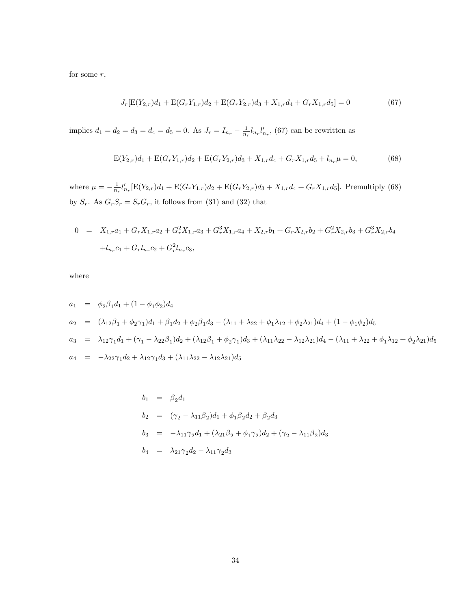for some  $r$ ,

$$
J_r[\mathcal{E}(Y_{2,r})d_1 + \mathcal{E}(G_r Y_{1,r})d_2 + \mathcal{E}(G_r Y_{2,r})d_3 + X_{1,r}d_4 + G_r X_{1,r}d_5] = 0 \qquad (67)
$$

implies  $d_1 = d_2 = d_3 = d_4 = d_5 = 0$ . As  $J_r = I_{n_r} - \frac{1}{n_r} l_{n_r} l'_{n_r}$ , (67) can be rewritten as

$$
E(Y_{2,r})d_1 + E(G_rY_{1,r})d_2 + E(G_rY_{2,r})d_3 + X_{1,r}d_4 + G_rX_{1,r}d_5 + l_{n_r}\mu = 0,
$$
\n(68)

where  $\mu = -\frac{1}{n_r} l'_{n_r} [\mathbf{E}(Y_{2,r})d_1 + \mathbf{E}(G_r Y_{1,r})d_2 + \mathbf{E}(G_r Y_{2,r})d_3 + X_{1,r}d_4 + G_r X_{1,r}d_5]$ . Premultiply (68) by  $S_r$ . As  $G_rS_r = S_rG_r$ , it follows from (31) and (32) that

$$
0 = X_{1,r}a_1 + G_r X_{1,r}a_2 + G_r^2 X_{1,r}a_3 + G_r^3 X_{1,r}a_4 + X_{2,r}b_1 + G_r X_{2,r}b_2 + G_r^2 X_{2,r}b_3 + G_r^3 X_{2,r}b_4
$$
  
+ $l_{n_r}c_1 + G_r l_{n_r}c_2 + G_r^2 l_{n_r}c_3$ ,

where

$$
a_1 = \phi_2 \beta_1 d_1 + (1 - \phi_1 \phi_2) d_4
$$
  
\n
$$
a_2 = (\lambda_{12} \beta_1 + \phi_2 \gamma_1) d_1 + \beta_1 d_2 + \phi_2 \beta_1 d_3 - (\lambda_{11} + \lambda_{22} + \phi_1 \lambda_{12} + \phi_2 \lambda_{21}) d_4 + (1 - \phi_1 \phi_2) d_5
$$
  
\n
$$
a_3 = \lambda_{12} \gamma_1 d_1 + (\gamma_1 - \lambda_{22} \beta_1) d_2 + (\lambda_{12} \beta_1 + \phi_2 \gamma_1) d_3 + (\lambda_{11} \lambda_{22} - \lambda_{12} \lambda_{21}) d_4 - (\lambda_{11} + \lambda_{22} + \phi_1 \lambda_{12} + \phi_2 \lambda_{21}) d_5
$$
  
\n
$$
a_4 = -\lambda_{22} \gamma_1 d_2 + \lambda_{12} \gamma_1 d_3 + (\lambda_{11} \lambda_{22} - \lambda_{12} \lambda_{21}) d_5
$$

$$
b_1 = \beta_2 d_1
$$
  
\n
$$
b_2 = (\gamma_2 - \lambda_{11}\beta_2)d_1 + \phi_1\beta_2 d_2 + \beta_2 d_3
$$
  
\n
$$
b_3 = -\lambda_{11}\gamma_2 d_1 + (\lambda_{21}\beta_2 + \phi_1\gamma_2)d_2 + (\gamma_2 - \lambda_{11}\beta_2)d_3
$$
  
\n
$$
b_4 = \lambda_{21}\gamma_2 d_2 - \lambda_{11}\gamma_2 d_3
$$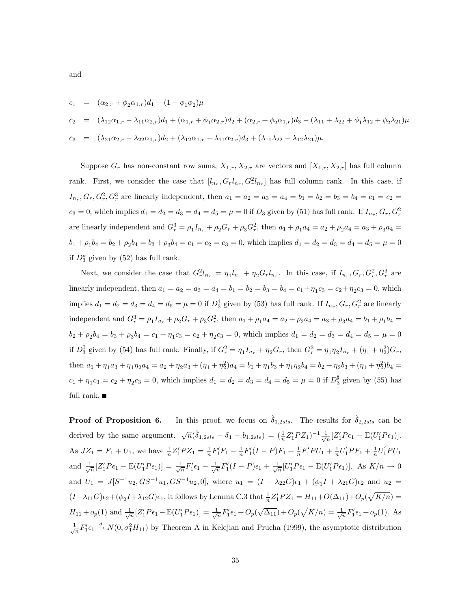$$
c_1 = (\alpha_{2,r} + \phi_2 \alpha_{1,r})d_1 + (1 - \phi_1 \phi_2)\mu
$$
  
\n
$$
c_2 = (\lambda_{12}\alpha_{1,r} - \lambda_{11}\alpha_{2,r})d_1 + (\alpha_{1,r} + \phi_1 \alpha_{2,r})d_2 + (\alpha_{2,r} + \phi_2 \alpha_{1,r})d_3 - (\lambda_{11} + \lambda_{22} + \phi_1 \lambda_{12} + \phi_2 \lambda_{21})\mu
$$
  
\n
$$
c_3 = (\lambda_{21}\alpha_{2,r} - \lambda_{22}\alpha_{1,r})d_2 + (\lambda_{12}\alpha_{1,r} - \lambda_{11}\alpha_{2,r})d_3 + (\lambda_{11}\lambda_{22} - \lambda_{12}\lambda_{21})\mu.
$$

Suppose  $G_r$  has non-constant row sums,  $X_{1,r}, X_{2,r}$  are vectors and  $[X_{1,r}, X_{2,r}]$  has full column rank. First, we consider the case that  $[l_{n_r}, G_r l_{n_r}, G_r^2 l_{n_r}]$  has full column rank. In this case, if  $I_{n_r}, G_r, G_r^2, G_r^3$  are linearly independent, then  $a_1 = a_2 = a_3 = a_4 = b_1 = b_2 = b_3 = b_4 = c_1 = c_2 = c_4$  $c_3 = 0$ , which implies  $d_1 = d_2 = d_3 = d_4 = d_5 = \mu = 0$  if  $D_3$  given by (51) has full rank. If  $I_{n_r}, G_r, G_r^2$ are linearly independent and  $G_r^3 = \rho_1 I_{n_r} + \rho_2 G_r + \rho_3 G_r^2$ , then  $a_1 + \rho_1 a_4 = a_2 + \rho_2 a_4 = a_3 + \rho_3 a_4 = a_4$  $b_1 + \rho_1 b_4 = b_2 + \rho_2 b_4 = b_3 + \rho_3 b_4 = c_1 = c_2 = c_3 = 0$ , which implies  $d_1 = d_2 = d_3 = d_4 = d_5 = \mu = 0$ if  $D_3^*$  given by  $(52)$  has full rank.

Next, we consider the case that  $G_r^2 l_{n_r} = \eta_1 l_{n_r} + \eta_2 G_r l_{n_r}$ . In this case, if  $I_{n_r}, G_r, G_r^2, G_r^3$  are linearly independent, then  $a_1 = a_2 = a_3 = a_4 = b_1 = b_2 = b_3 = b_4 = c_1 + \eta_1 c_3 = c_2 + \eta_2 c_3 = 0$ , which implies  $d_1 = d_2 = d_3 = d_4 = d_5 = \mu = 0$  if  $D_3^{\dagger}$  given by (53) has full rank. If  $I_{n_r}, G_r, G_r^2$  are linearly independent and  $G_r^3 = \rho_1 I_{n_r} + \rho_2 G_r + \rho_3 G_r^2$ , then  $a_1 + \rho_1 a_4 = a_2 + \rho_2 a_4 = a_3 + \rho_3 a_4 = b_1 + \rho_1 b_4 =$  $b_2 + \rho_2 b_4 = b_3 + \rho_3 b_4 = c_1 + \eta_1 c_3 = c_2 + \eta_2 c_3 = 0$ , which implies  $d_1 = d_2 = d_3 = d_4 = d_5 = \mu = 0$ if  $D_3^{\ddagger}$  given by (54) has full rank. Finally, if  $G_r^2 = \eta_1 I_{n_r} + \eta_2 G_r$ , then  $G_r^3 = \eta_1 \eta_2 I_{n_r} + (\eta_1 + \eta_2^2) G_r$ , then  $a_1 + \eta_1 a_3 + \eta_1 \eta_2 a_4 = a_2 + \eta_2 a_3 + (\eta_1 + \eta_2^2)a_4 = b_1 + \eta_1 b_3 + \eta_1 \eta_2 b_4 = b_2 + \eta_2 b_3 + (\eta_1 + \eta_2^2)b_4 =$  $c_1 + \eta_1 c_3 = c_2 + \eta_2 c_3 = 0$ , which implies  $d_1 = d_2 = d_3 = d_4 = d_5 = \mu = 0$  if  $D_3^{\sharp}$  given by (55) has full rank.  $\blacksquare$ 

**Proof of Proposition 6.** In this proof, we focus on  $\hat{\delta}_{1,2sls}$ . The results for  $\hat{\delta}_{2,2sls}$  can be derived by the same argument.  $\sqrt{n}(\hat{\delta}_{1,2sls} - \delta_1 - b_{1,2sls}) = (\frac{1}{n}Z_1'PZ_1)^{-1} \frac{1}{\sqrt{n}}[Z_1'P\epsilon_1 - E(U_1'P\epsilon_1)].$ As  $JZ_1 = F_1 + U_1$ , we have  $\frac{1}{n}Z_1'PZ_1 = \frac{1}{n}F_1'F_1 - \frac{1}{n}F_1'(I-P)F_1 + \frac{1}{n}F_1'PU_1 + \frac{1}{n}U_1'PF_1 + \frac{1}{n}U_1'PU_1$ and  $\frac{1}{\sqrt{n}}[Z_1'P\epsilon_1 - E(U_1'P\epsilon_1)] = \frac{1}{\sqrt{n}}F_1'\epsilon_1 - \frac{1}{\sqrt{n}}F_1'(I-P)\epsilon_1 + \frac{1}{\sqrt{n}}[U_1'P\epsilon_1 - E(U_1'P\epsilon_1)].$  As  $K/n \to 0$ and  $U_1 = J[S^{-1}u_2, GS^{-1}u_1, GS^{-1}u_2, 0]$ , where  $u_1 = (I - \lambda_{22}G)\epsilon_1 + (\phi_1 I + \lambda_{21}G)\epsilon_2$  and  $u_2 =$  $(I-\lambda_{11}G)\epsilon_2+(\phi_2I+\lambda_{12}G)\epsilon_1$ , it follows by Lemma C.3 that  $\frac{1}{n}Z_1'PZ_1 = H_{11}+O(\Delta_{11})+O_p(\sqrt{K/n}) =$  $H_{11} + o_p(1)$  and  $\frac{1}{\sqrt{n}}[Z_1'P\epsilon_1 - E(U_1'P\epsilon_1)] = \frac{1}{\sqrt{n}}F_1'\epsilon_1 + O_p(\sqrt{\Delta_{11}}) + O_p(\sqrt{K/n}) = \frac{1}{\sqrt{n}}F_1'\epsilon_1 + o_p(1)$ . As  $\frac{1}{\sqrt{n}}F'_1\epsilon_1 \stackrel{d}{\rightarrow} N(0,\sigma_1^2H_{11})$  by Theorem A in Kelejian and Prucha (1999), the asymptotic distribution

and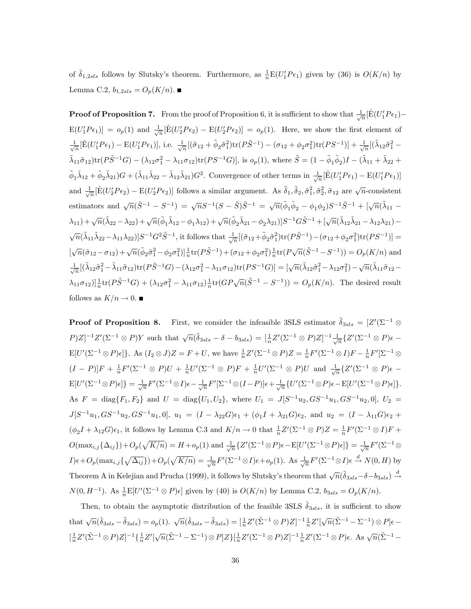of  $\hat{\delta}_{1,2sls}$  follows by Slutsky's theorem. Furthermore, as  $\frac{1}{n}E(U_1'P\epsilon_1)$  given by (36) is  $O(K/n)$  by Lemma C.2,  $b_{1,2sls} = O_p(K/n)$ .

**Proof of Proposition 7.** From the proof of Proposition 6, it is sufficient to show that  $\frac{1}{\sqrt{n}}[\hat{E}(U_1'P\epsilon_1) E(U_1'P\epsilon_1)]=o_p(1)$  and  $\frac{1}{\sqrt{n}}[\hat{E}(U_2'P\epsilon_2)-E(U_2'P\epsilon_2)]=o_p(1)$ . Here, we show the first element of  $\frac{1}{\sqrt{n}}[\hat{E}(U_1'P\epsilon_1) - E(U_1'P\epsilon_1)],$  i.e.  $\frac{1}{\sqrt{n}}[(\tilde{\sigma}_{12} + \tilde{\phi}_2\tilde{\sigma}_1^2)tr(P\tilde{S}^{-1}) - (\sigma_{12} + \phi_2\sigma_1^2)tr(PS^{-1})] + \frac{1}{\sqrt{n}}[(\tilde{\lambda}_{12}\tilde{\sigma}_1^2 \tilde{\lambda}_{11}\tilde{\sigma}_{12}\text{tr}(P\tilde{S}^{-1}G) - (\lambda_{12}\sigma_1^2 - \lambda_{11}\sigma_{12})\text{tr}(PS^{-1}G)], \text{ is } o_p(1), \text{ where } \tilde{S} = (1 - \tilde{\phi}_1\tilde{\phi}_2)I - (\tilde{\lambda}_{11} + \tilde{\lambda}_{22} + \tilde{\phi}_2)I.$  $\tilde{\phi}_1 \tilde{\lambda}_{12} + \tilde{\phi}_2 \tilde{\lambda}_{21}) G + (\tilde{\lambda}_{11} \tilde{\lambda}_{22} - \tilde{\lambda}_{12} \tilde{\lambda}_{21}) G^2$ . Convergence of other terms in  $\frac{1}{\sqrt{n}} [\hat{E}(U_1' P \epsilon_1) - E(U_1' P \epsilon_1)]$ and  $\frac{1}{\sqrt{n}}[\hat{E}(U_2'P\epsilon_2)-E(U_2'P\epsilon_2)]$  follows a similar argument. As  $\tilde{\delta}_1$ ,  $\tilde{\delta}_2$ ,  $\tilde{\sigma}_1^2$ ,  $\tilde{\sigma}_2^2$ ,  $\tilde{\sigma}_{12}$  are  $\sqrt{n}$ -consistent estimators and  $\sqrt{n}(\tilde{S}^{-1} - S^{-1}) = \sqrt{n}S^{-1}(S - \tilde{S})\tilde{S}^{-1} = \sqrt{n}(\tilde{\phi}_1\tilde{\phi}_2 - \phi_1\phi_2)S^{-1}\tilde{S}^{-1} + [\sqrt{n}(\tilde{\lambda}_{11} - \tilde{\lambda}_{12})S^{-1}(\tilde{\phi}_1\tilde{\phi}_2 - \phi_1\phi_2)]S^{-1}\tilde{S}^{-1}$  $(\lambda_{11}) + \sqrt{n}(\tilde{\lambda}_{22} - \lambda_{22}) + \sqrt{n}(\tilde{\phi}_1 \tilde{\lambda}_{12} - \phi_1 \lambda_{12}) + \sqrt{n}(\tilde{\phi}_2 \tilde{\lambda}_{21} - \phi_2 \lambda_{21})]S^{-1}G\tilde{S}^{-1} + [\sqrt{n}(\tilde{\lambda}_{12}\tilde{\lambda}_{21} - \lambda_{12}\lambda_{21}) \sqrt{n}(\tilde{\lambda}_{11}\tilde{\lambda}_{22}-\lambda_{11}\lambda_{22})]S^{-1}G^2\tilde{S}^{-1}$ , it follows that  $\frac{1}{\sqrt{n}}[(\tilde{\sigma}_{12}+\tilde{\phi}_2\tilde{\sigma}_1^2)\text{tr}(P\tilde{S}^{-1})-(\sigma_{12}+\phi_2\sigma_1^2)\text{tr}(PS^{-1})]=$  $\left[\sqrt{n}(\tilde{\sigma}_{12}-\sigma_{12})+\sqrt{n}(\tilde{\phi}_{2}\tilde{\sigma}_{1}^{2}-\phi_{2}\sigma_{1}^{2})\right]_{n}^{\frac{1}{n}}\text{tr}(P\tilde{S}^{-1})+(\sigma_{12}+\phi_{2}\sigma_{1}^{2})\frac{1}{n}\text{tr}(P\sqrt{n}(\tilde{S}^{-1}-S^{-1}))=O_{p}(K/n)$  and  $\frac{1}{\sqrt{n}}[(\tilde{\lambda}_{12}\tilde{\sigma}_1^2-\tilde{\lambda}_{11}\tilde{\sigma}_{12})\text{tr}(P\tilde{S}^{-1}G)-(\lambda_{12}\sigma_1^2-\lambda_{11}\sigma_{12})\text{tr}(PS^{-1}G)]=[\sqrt{n}(\tilde{\lambda}_{12}\tilde{\sigma}_1^2-\lambda_{12}\sigma_1^2)-\sqrt{n}(\tilde{\lambda}_{11}\tilde{\sigma}_{12}-\lambda_{12}\sigma_1^2)]$  $\lambda_{11}\sigma_{12}$ )] $\frac{1}{n}$ tr( $P\tilde{S}^{-1}G$ ) +  $(\lambda_{12}\sigma_1^2 - \lambda_{11}\sigma_{12})\frac{1}{n}$ tr( $GP\sqrt{n}(\tilde{S}^{-1} - S^{-1})$ ) =  $O_p(K/n)$ . The desired result follows as  $K/n \to 0$ .

**Proof of Proposition 8.** First, we consider the infeasible 3SLS estimator  $\tilde{\delta}_{3sls} = [Z'(\Sigma^{-1} \otimes$  $P[Z]^{-1}Z'(\Sigma^{-1}\otimes P)Y$  such that  $\sqrt{n}(\tilde{\delta}_{3sls} - \delta - b_{3sls}) = \left[\frac{1}{n}Z'(\Sigma^{-1}\otimes P)Z\right]^{-1}\frac{1}{\sqrt{n}}\left\{Z'(\Sigma^{-1}\otimes P)\epsilon - \frac{1}{n}\right\}$  $E[U'(\Sigma^{-1}\otimes P)\epsilon]$ . As  $(I_2\otimes J)Z = F + U$ , we have  $\frac{1}{n}Z'(\Sigma^{-1}\otimes P)Z = \frac{1}{n}F'(\Sigma^{-1}\otimes I)F - \frac{1}{n}F'(\Sigma^{-1}\otimes I)$  $(I - P)|F + \frac{1}{n}F'(\Sigma^{-1} \otimes P)U + \frac{1}{n}U'(\Sigma^{-1} \otimes P)F + \frac{1}{n}U'(\Sigma^{-1} \otimes P)U$  and  $\frac{1}{\sqrt{n}}\{Z'(\Sigma^{-1} \otimes P)\epsilon \mathbb{E}[U'(\Sigma^{-1}\otimes P)\epsilon]\} = \frac{1}{\sqrt{n}}F'(\Sigma^{-1}\otimes I)\epsilon - \frac{1}{\sqrt{n}}F'[\Sigma^{-1}\otimes (I-P)]\epsilon + \frac{1}{\sqrt{n}}\{U'(\Sigma^{-1}\otimes P)\epsilon - \mathbb{E}[U'(\Sigma^{-1}\otimes P)\epsilon]\}.$ As  $F = diag{F_1, F_2}$  and  $U = diag{U_1, U_2}$ , where  $U_1 = J[S^{-1}u_2, GS^{-1}u_1, GS^{-1}u_2, 0], U_2 =$  $J[S^{-1}u_1, GS^{-1}u_2, GS^{-1}u_1, 0], u_1 = (I - \lambda_{22}G)\epsilon_1 + (\phi_1I + \lambda_{21}G)\epsilon_2, \text{ and } u_2 = (I - \lambda_{11}G)\epsilon_2 +$  $(\phi_2 I + \lambda_{12} G)\epsilon_1$ , it follows by Lemma C.3 and  $K/n \to 0$  that  $\frac{1}{n}Z'(\Sigma^{-1} \otimes P)Z = \frac{1}{n}F'(\Sigma^{-1} \otimes I)F +$  $O(\max_{i,j}\{\Delta_{ij}\})+O_p(\sqrt{K/n})=H+o_p(1)$  and  $\frac{1}{\sqrt{n}}\{Z'(\Sigma^{-1}\otimes P)\epsilon-\mathbb{E}[U'(\Sigma^{-1}\otimes P)\epsilon]\}=\frac{1}{\sqrt{n}}F'(\Sigma^{-1}\otimes \mathbb{E}[U'(\Sigma^{-1}\otimes P)\epsilon])$  $I) \epsilon + O_p(\max_{i,j} {\{\sqrt{\Delta_{ij}}\}}) + O_p(\sqrt{K/n}) = \frac{1}{\sqrt{n}} F'(\Sigma^{-1} \otimes I) \epsilon + o_p(1)$ . As  $\frac{1}{\sqrt{n}} F'(\Sigma^{-1} \otimes I) \epsilon \stackrel{d}{\rightarrow} N(0, H)$  by Theorem A in Kelejian and Prucha (1999), it follows by Slutsky's theorem that  $\sqrt{n}(\tilde{\delta}_{3sls}-\delta-b_{3sls})\stackrel{d}{\rightarrow}$  $N(0, H^{-1})$ . As  $\frac{1}{n} \mathbb{E}[U'(\Sigma^{-1} \otimes P)\epsilon]$  given by (40) is  $O(K/n)$  by Lemma C.2,  $b_{3sls} = O_p(K/n)$ .

Then, to obtain the asymptotic distribution of the feasible 3SLS  $\delta_{3sls}$ , it is sufficient to show that  $\sqrt{n}(\hat{\delta}_{3sls} - \tilde{\delta}_{3sls}) = o_p(1)$ .  $\sqrt{n}(\hat{\delta}_{3sls} - \tilde{\delta}_{3sls}) = \left[\frac{1}{n}Z'(\tilde{\Sigma}^{-1} \otimes P)Z\right]^{-1} \frac{1}{n}Z'\left[\sqrt{n}(\tilde{\Sigma}^{-1} - \Sigma^{-1}) \otimes P\right] \epsilon$  $\label{eq:Zprime} [\tfrac{1}{n}Z'(\tilde{\Sigma}^{-1}\otimes P)Z]^{-1}\{\tfrac{1}{n}Z'[\sqrt{n}(\tilde{\Sigma}^{-1}-\Sigma^{-1})\otimes P]Z\}[\tfrac{1}{n}Z'(\Sigma^{-1}\otimes P)Z]^{-1}\tfrac{1}{n}Z'(\Sigma^{-1}\otimes P)\epsilon. \text{ As } \sqrt{n}(\tilde{\Sigma}^{-1}-\tilde{\Sigma}^{-1})\otimes \tilde{\Sigma}^{-1}\}$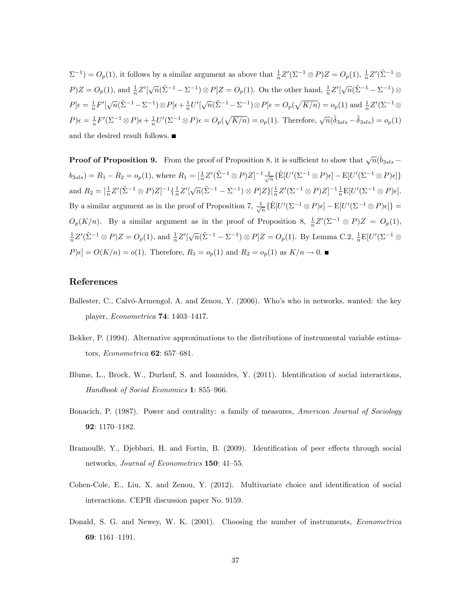$\Sigma^{-1}$ ) =  $O_p(1)$ , it follows by a similar argument as above that  $\frac{1}{n}Z'(\Sigma^{-1}\otimes P)Z = O_p(1)$ ,  $\frac{1}{n}Z'(\tilde{\Sigma}^{-1}\otimes P)Z = O_p(1)$  $P/Z = O_p(1)$ , and  $\frac{1}{n}Z'[\sqrt{n}(\tilde{\Sigma}^{-1} - \Sigma^{-1}) \otimes P]Z = O_p(1)$ . On the other hand,  $\frac{1}{n}Z'[\sqrt{n}(\tilde{\Sigma}^{-1} - \Sigma^{-1}) \otimes P]Z = O_p(1)$ .  $P\right]\epsilon = \frac{1}{n}F'\left[\sqrt{n}(\tilde{\Sigma}^{-1} - \Sigma^{-1})\otimes P\right]\epsilon + \frac{1}{n}U'\left[\sqrt{n}(\tilde{\Sigma}^{-1} - \Sigma^{-1})\otimes P\right]\epsilon = O_p(\sqrt{K/n}) = o_p(1)$  and  $\frac{1}{n}Z'(\Sigma^{-1}\otimes P)$  $P$ ) $\epsilon = \frac{1}{n}F'(\Sigma^{-1}\otimes P)\epsilon + \frac{1}{n}U'(\Sigma^{-1}\otimes P)\epsilon = O_p(\sqrt{K/n}) = o_p(1)$ . Therefore,  $\sqrt{n}(\hat{\delta}_{3sls} - \tilde{\delta}_{3sls}) = o_p(1)$ and the desired result follows.

**Proof of Proposition 9.** From the proof of Proposition 8, it is sufficient to show that  $\sqrt{n}(\hat{b}_{3sls}$  –  $b_{3sls}$ ) = R<sub>1</sub> - R<sub>2</sub> =  $o_p(1)$ , where  $R_1 = \left[\frac{1}{n}Z'(\tilde{\Sigma}^{-1} \otimes P)Z\right]^{-1} \frac{1}{\sqrt{n}} \left\{\hat{E}[U'(\Sigma^{-1} \otimes P)\epsilon] - \hat{E}[U'(\Sigma^{-1} \otimes P)\epsilon]\right\}$ and  $R_2 = \left[\frac{1}{n}Z'(\tilde{\Sigma}^{-1} \otimes P)Z\right]^{-1} \left{\frac{1}{n}Z'[\sqrt{n}(\tilde{\Sigma}^{-1} - \Sigma^{-1}) \otimes P]Z\right\}\left[\frac{1}{n}Z'(\Sigma^{-1} \otimes P)Z\right]^{-1} \frac{1}{n}E[U'(\Sigma^{-1} \otimes P)\epsilon].$ By a similar argument as in the proof of Proposition 7,  $\frac{1}{\sqrt{n}} \{\hat{E}[U'(\Sigma^{-1} \otimes P)\epsilon] - E[U'(\Sigma^{-1} \otimes P)\epsilon]\} =$  $O_p(K/n)$ . By a similar argument as in the proof of Proposition 8,  $\frac{1}{n}Z'(\Sigma^{-1}\otimes P)Z = O_p(1)$ ,  $\frac{1}{n}Z'(\tilde{\Sigma}^{-1}\otimes P)Z=O_p(1)$ , and  $\frac{1}{n}Z'[\sqrt{n}(\tilde{\Sigma}^{-1}-\Sigma^{-1})\otimes P]Z=O_p(1)$ . By Lemma C.2,  $\frac{1}{n}E[U'(\Sigma^{-1}\otimes P)]Z=O_p(1)$  $P[\epsilon] = O(K/n) = o(1)$ . Therefore,  $R_1 = o_p(1)$  and  $R_2 = o_p(1)$  as  $K/n \to 0$ .

### References

- Ballester, C., Calvó-Armengol, A. and Zenou, Y. (2006). Who's who in networks. wanted: the key player, *Econometrica* **74**:  $1403-1417$ .
- Bekker, P. (1994). Alternative approximations to the distributions of instrumental variable estimators, *Econometrica*  $62: 657-681$ .
- Blume, L., Brock, W., Durlauf, S. and Ioannides, Y. (2011). Identification of social interactions, Handbook of Social Economics 1: 855-966.
- Bonacich, P. (1987). Power and centrality: a family of measures, *American Journal of Sociology* 92: 1170-1182.
- Bramoullé, Y., Djebbari, H. and Fortin, B. (2009). Identification of peer effects through social networks, *Journal of Econometrics* **150**:  $41-55$ .
- Cohen-Cole, E., Liu, X. and Zenou, Y. (2012). Multivariate choice and identification of social interactions. CEPR discussion paper No. 9159.
- Donald, S. G. and Newey, W. K. (2001). Choosing the number of instruments, *Econometrica* 69: 1161-1191.